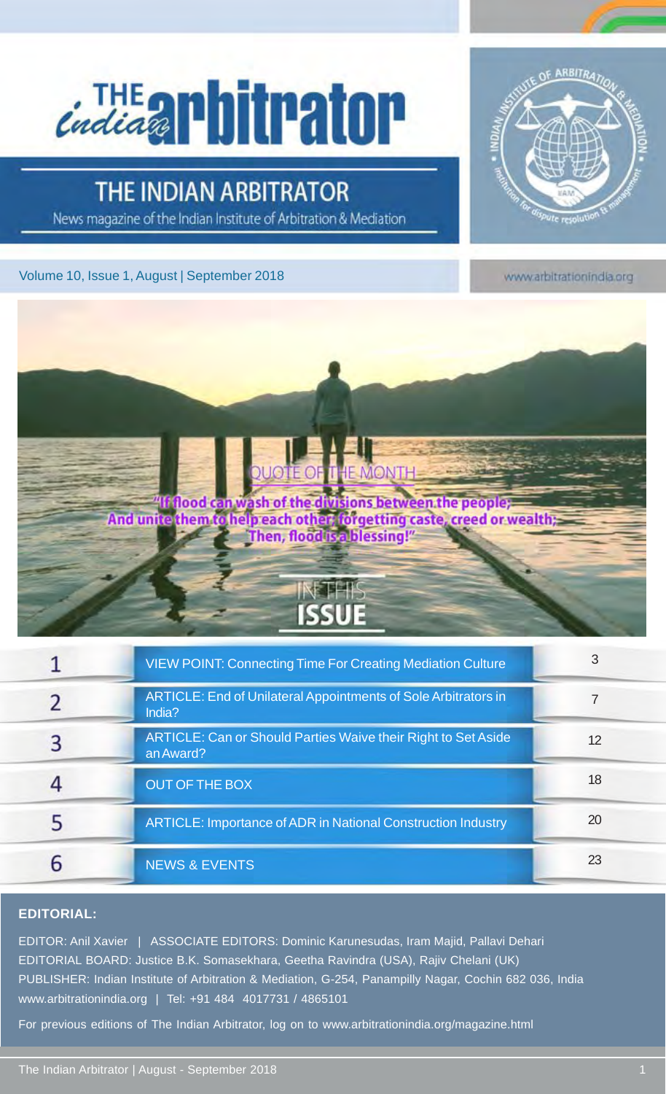# **Cindia all Ditrator**

## THE INDIAN ARBITRATOR

News magazine of the Indian Institute of Arbitration & Mediation

#### Volume 10, Issue 1, August | September 2018



www.arbitrationindia.org



| <b>VIEW POINT: Connecting Time For Creating Mediation Culture</b>          | 3  |
|----------------------------------------------------------------------------|----|
| ARTICLE: End of Unilateral Appointments of Sole Arbitrators in<br>India?   |    |
| ARTICLE: Can or Should Parties Waive their Right to Set Aside<br>an Award? | 12 |
| <b>OUT OF THE BOX</b>                                                      | 18 |
| ARTICLE: Importance of ADR in National Construction Industry               | 20 |
| <b>NEWS &amp; EVENTS</b>                                                   | 23 |

#### **EDITORIAL:**

EDITOR: Anil Xavier | ASSOCIATE EDITORS: Dominic Karunesudas, Iram Majid, Pallavi Dehari EDITORIAL BOARD: Justice B.K. Somasekhara, Geetha Ravindra (USA), Rajiv Chelani (UK) PUBLISHER: Indian Institute of Arbitration & Mediation, G-254, Panampilly Nagar, Cochin 682 036, India www.arbitrationindia.org | Tel: +91 484 4017731 / 4865101

For previous editions of The Indian Arbitrator, log on to www.arbitrationindia.org/magazine.html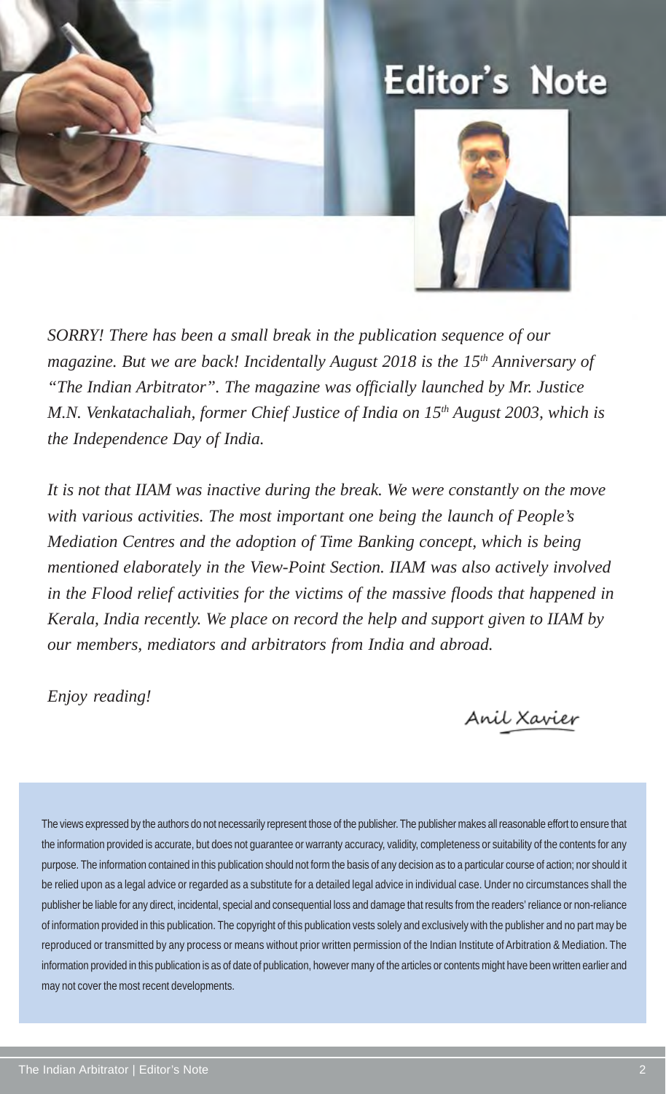## **Editor's Note**



*SORRY! There has been a small break in the publication sequence of our magazine. But we are back! Incidentally August 2018 is the 15<sup>th</sup> Anniversary of "The Indian Arbitrator". The magazine was officially launched by Mr. Justice M.N. Venkatachaliah, former Chief Justice of India on 15th August 2003, which is the Independence Day of India.*

*It is not that IIAM was inactive during the break. We were constantly on the move with various activities. The most important one being the launch of People's Mediation Centres and the adoption of Time Banking concept, which is being mentioned elaborately in the View-Point Section. IIAM was also actively involved in the Flood relief activities for the victims of the massive floods that happened in Kerala, India recently. We place on record the help and support given to IIAM by our members, mediators and arbitrators from India and abroad.*

*Enjoy reading!*

Anil Xavier

The views expressed by the authors do not necessarily represent those of the publisher. The publisher makes all reasonable effort to ensure that the information provided is accurate, but does not guarantee or warranty accuracy, validity, completeness or suitability of the contents for any purpose. The information contained in this publication should not form the basis of any decision as to a particular course of action; nor should it be relied upon as a legal advice or regarded as a substitute for a detailed legal advice in individual case. Under no circumstances shall the publisher be liable for any direct, incidental, special and consequential loss and damage that results from the readers' reliance or non-reliance of information provided in this publication. The copyright of this publication vests solely and exclusively with the publisher and no part may be reproduced or transmitted by any process or means without prior written permission of the Indian Institute of Arbitration & Mediation. The information provided in this publication is as of date of publication, however many of the articles or contents might have been written earlier and may not cover the most recent developments.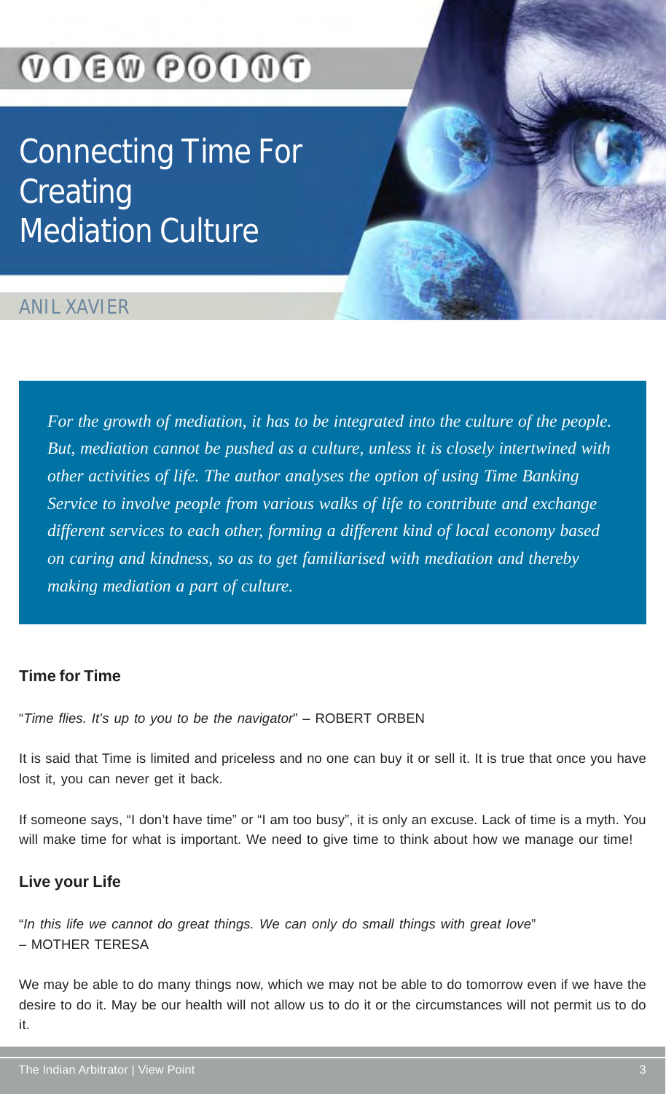## VOEW POONT

Connecting Time For **Creating** Mediation Culture

### ANIL XAVIER

*For the growth of mediation, it has to be integrated into the culture of the people. But, mediation cannot be pushed as a culture, unless it is closely intertwined with other activities of life. The author analyses the option of using Time Banking Service to involve people from various walks of life to contribute and exchange different services to each other, forming a different kind of local economy based on caring and kindness, so as to get familiarised with mediation and thereby making mediation a part of culture.*

#### **Time for Time**

"*Time flies. It's up to you to be the navigator*" – ROBERT ORBEN

It is said that Time is limited and priceless and no one can buy it or sell it. It is true that once you have lost it, you can never get it back.

If someone says, "I don't have time" or "I am too busy", it is only an excuse. Lack of time is a myth. You will make time for what is important. We need to give time to think about how we manage our time!

#### **Live your Life**

"*In this life we cannot do great things. We can only do small things with great love*" – MOTHER TERESA

We may be able to do many things now, which we may not be able to do tomorrow even if we have the desire to do it. May be our health will not allow us to do it or the circumstances will not permit us to do it.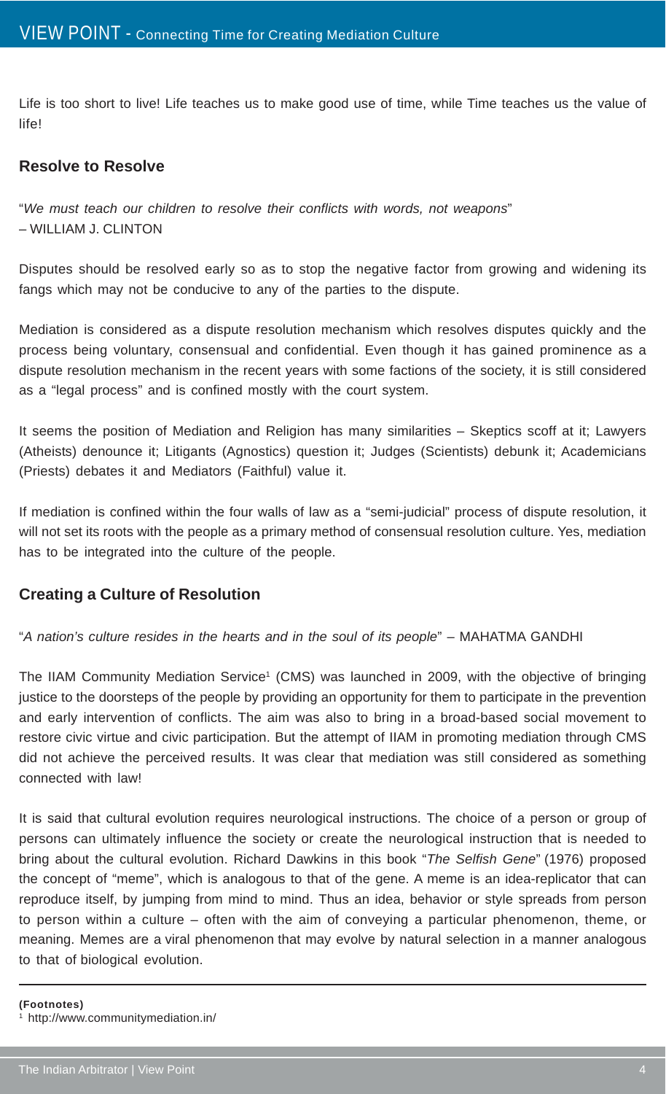Life is too short to live! Life teaches us to make good use of time, while Time teaches us the value of life!

#### **Resolve to Resolve**

"*We must teach our children to resolve their conflicts with words, not weapons*" – WILLIAM J. CLINTON

Disputes should be resolved early so as to stop the negative factor from growing and widening its fangs which may not be conducive to any of the parties to the dispute.

Mediation is considered as a dispute resolution mechanism which resolves disputes quickly and the process being voluntary, consensual and confidential. Even though it has gained prominence as a dispute resolution mechanism in the recent years with some factions of the society, it is still considered as a "legal process" and is confined mostly with the court system.

It seems the position of Mediation and Religion has many similarities – Skeptics scoff at it; Lawyers (Atheists) denounce it; Litigants (Agnostics) question it; Judges (Scientists) debunk it; Academicians (Priests) debates it and Mediators (Faithful) value it.

If mediation is confined within the four walls of law as a "semi-judicial" process of dispute resolution, it will not set its roots with the people as a primary method of consensual resolution culture. Yes, mediation has to be integrated into the culture of the people.

#### **Creating a Culture of Resolution**

"*A nation's culture resides in the hearts and in the soul of its people*" – MAHATMA GANDHI

The IIAM Community Mediation Service<sup>1</sup> (CMS) was launched in 2009, with the objective of bringing justice to the doorsteps of the people by providing an opportunity for them to participate in the prevention and early intervention of conflicts. The aim was also to bring in a broad-based social movement to restore civic virtue and civic participation. But the attempt of IIAM in promoting mediation through CMS did not achieve the perceived results. It was clear that mediation was still considered as something connected with law!

It is said that cultural evolution requires neurological instructions. The choice of a person or group of persons can ultimately influence the society or create the neurological instruction that is needed to bring about the cultural evolution. Richard Dawkins in this book "*The Selfish Gene*" (1976) proposed the concept of "meme", which is analogous to that of the gene. A meme is an idea-replicator that can reproduce itself, by jumping from mind to mind. Thus an idea, behavior or style spreads from person to person within a culture – often with the aim of conveying a particular phenomenon, theme, or meaning. Memes are a viral phenomenon that may evolve by natural selection in a manner analogous to that of biological evolution.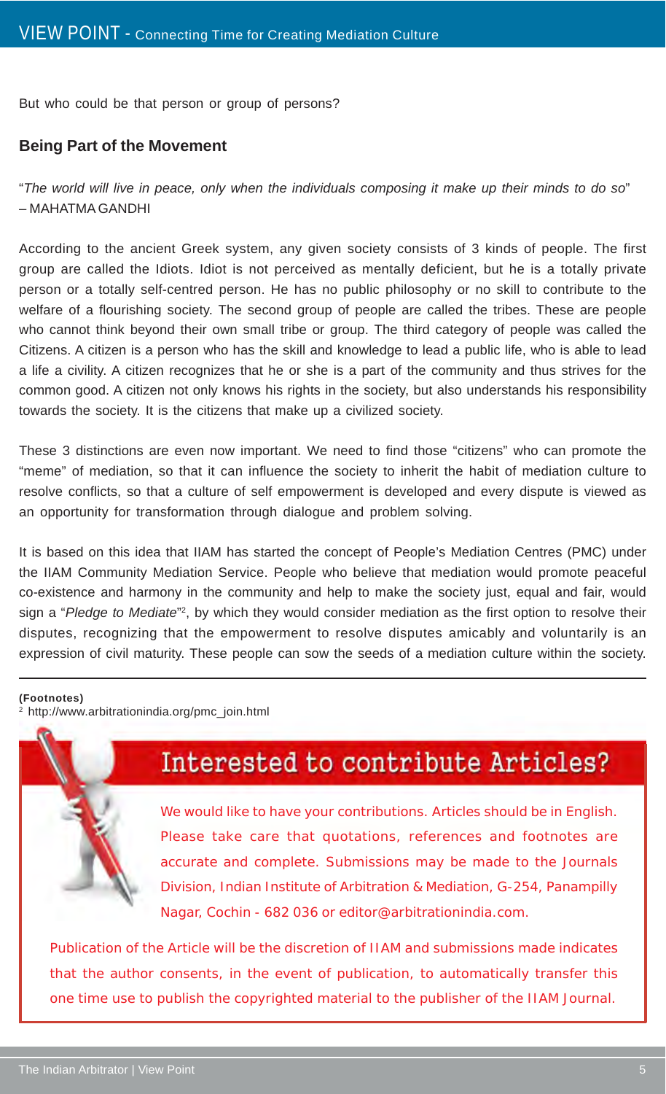But who could be that person or group of persons?

#### **Being Part of the Movement**

"*The world will live in peace, only when the individuals composing it make up their minds to do so*" – MAHATMA GANDHI

According to the ancient Greek system, any given society consists of 3 kinds of people. The first group are called the Idiots. Idiot is not perceived as mentally deficient, but he is a totally private person or a totally self-centred person. He has no public philosophy or no skill to contribute to the welfare of a flourishing society. The second group of people are called the tribes. These are people who cannot think beyond their own small tribe or group. The third category of people was called the Citizens. A citizen is a person who has the skill and knowledge to lead a public life, who is able to lead a life a civility. A citizen recognizes that he or she is a part of the community and thus strives for the common good. A citizen not only knows his rights in the society, but also understands his responsibility towards the society. It is the citizens that make up a civilized society.

These 3 distinctions are even now important. We need to find those "citizens" who can promote the "meme" of mediation, so that it can influence the society to inherit the habit of mediation culture to resolve conflicts, so that a culture of self empowerment is developed and every dispute is viewed as an opportunity for transformation through dialogue and problem solving.

It is based on this idea that IIAM has started the concept of People's Mediation Centres (PMC) under the IIAM Community Mediation Service. People who believe that mediation would promote peaceful co-existence and harmony in the community and help to make the society just, equal and fair, would sign a "Pledge to Mediate"<sup>2</sup>, by which they would consider mediation as the first option to resolve their disputes, recognizing that the empowerment to resolve disputes amicably and voluntarily is an expression of civil maturity. These people can sow the seeds of a mediation culture within the society.

#### **(Footnotes)**

2 http://www.arbitrationindia.org/pmc\_join.html



## Interested to contribute Articles?

We would like to have your contributions. Articles should be in English. Please take care that quotations, references and footnotes are accurate and complete. Submissions may be made to the Journals Division, Indian Institute of Arbitration & Mediation, G-254, Panampilly Nagar, Cochin - 682 036 or editor@arbitrationindia.com.

Publication of the Article will be the discretion of IIAM and submissions made indicates that the author consents, in the event of publication, to automatically transfer this one time use to publish the copyrighted material to the publisher of the IIAM Journal.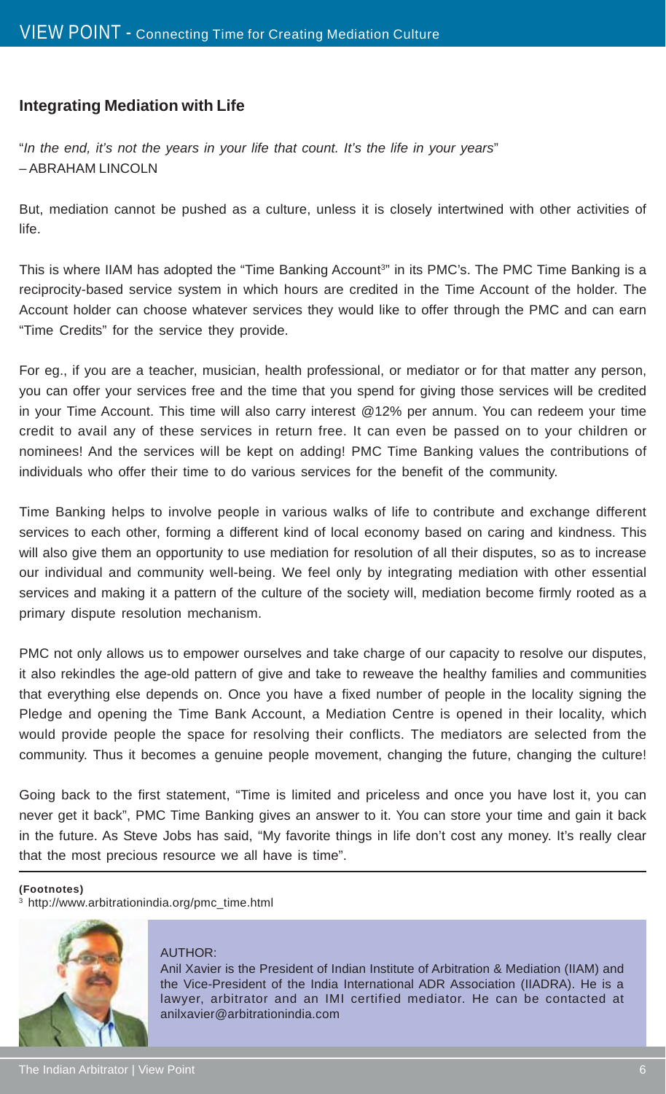#### **Integrating Mediation with Life**

"*In the end, it's not the years in your life that count. It's the life in your years*" – ABRAHAM LINCOLN

But, mediation cannot be pushed as a culture, unless it is closely intertwined with other activities of life.

This is where IIAM has adopted the "Time Banking Account<sup>3</sup>" in its PMC's. The PMC Time Banking is a reciprocity-based service system in which hours are credited in the Time Account of the holder. The Account holder can choose whatever services they would like to offer through the PMC and can earn "Time Credits" for the service they provide.

For eg., if you are a teacher, musician, health professional, or mediator or for that matter any person, you can offer your services free and the time that you spend for giving those services will be credited in your Time Account. This time will also carry interest @12% per annum. You can redeem your time credit to avail any of these services in return free. It can even be passed on to your children or nominees! And the services will be kept on adding! PMC Time Banking values the contributions of individuals who offer their time to do various services for the benefit of the community.

Time Banking helps to involve people in various walks of life to contribute and exchange different services to each other, forming a different kind of local economy based on caring and kindness. This will also give them an opportunity to use mediation for resolution of all their disputes, so as to increase our individual and community well-being. We feel only by integrating mediation with other essential services and making it a pattern of the culture of the society will, mediation become firmly rooted as a primary dispute resolution mechanism.

PMC not only allows us to empower ourselves and take charge of our capacity to resolve our disputes, it also rekindles the age-old pattern of give and take to reweave the healthy families and communities that everything else depends on. Once you have a fixed number of people in the locality signing the Pledge and opening the Time Bank Account, a Mediation Centre is opened in their locality, which would provide people the space for resolving their conflicts. The mediators are selected from the community. Thus it becomes a genuine people movement, changing the future, changing the culture!

Going back to the first statement, "Time is limited and priceless and once you have lost it, you can never get it back", PMC Time Banking gives an answer to it. You can store your time and gain it back in the future. As Steve Jobs has said, "My favorite things in life don't cost any money. It's really clear that the most precious resource we all have is time".

#### **(Footnotes)**

3 http://www.arbitrationindia.org/pmc\_time.html



#### AUTHOR:

Anil Xavier is the President of Indian Institute of Arbitration & Mediation (IIAM) and the Vice-President of the India International ADR Association (IIADRA). He is a lawyer, arbitrator and an IMI certified mediator. He can be contacted at anilxavier@arbitrationindia.com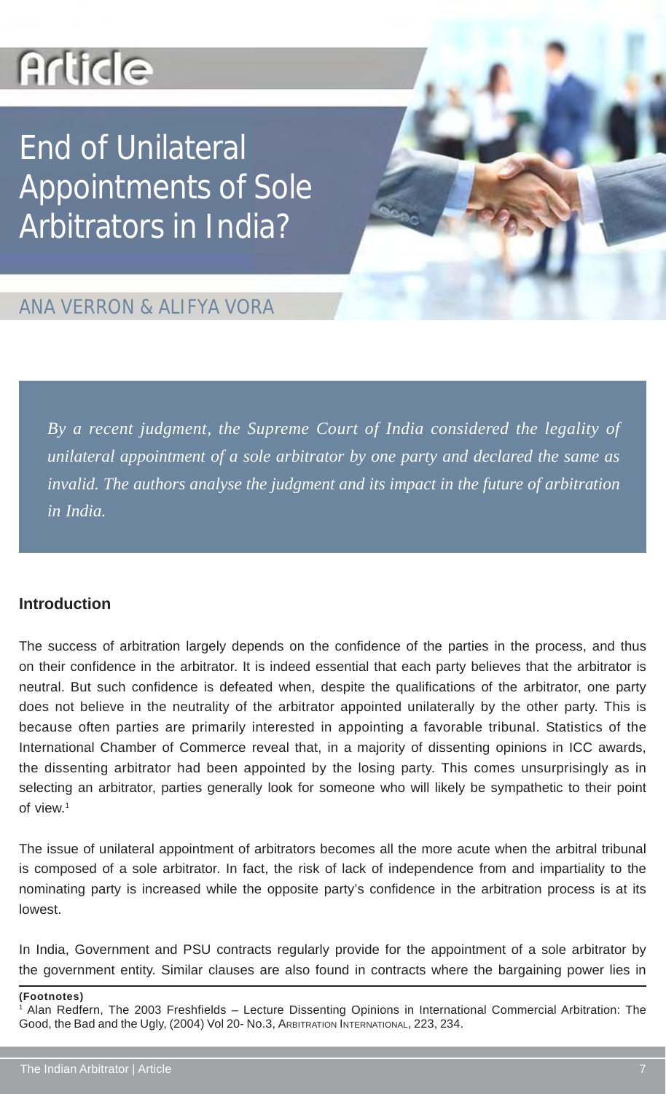## **Article**

## End of Unilateral Appointments of Sole Arbitrators in India?

## ANA VERRON & ALIFYA VORA

*By a recent judgment, the Supreme Court of India considered the legality of unilateral appointment of a sole arbitrator by one party and declared the same as invalid. The authors analyse the judgment and its impact in the future of arbitration in India.*

#### **Introduction**

The success of arbitration largely depends on the confidence of the parties in the process, and thus on their confidence in the arbitrator. It is indeed essential that each party believes that the arbitrator is neutral. But such confidence is defeated when, despite the qualifications of the arbitrator, one party does not believe in the neutrality of the arbitrator appointed unilaterally by the other party. This is because often parties are primarily interested in appointing a favorable tribunal. Statistics of the International Chamber of Commerce reveal that, in a majority of dissenting opinions in ICC awards, the dissenting arbitrator had been appointed by the losing party. This comes unsurprisingly as in selecting an arbitrator, parties generally look for someone who will likely be sympathetic to their point of view<sup>1</sup>

The issue of unilateral appointment of arbitrators becomes all the more acute when the arbitral tribunal is composed of a sole arbitrator. In fact, the risk of lack of independence from and impartiality to the nominating party is increased while the opposite party's confidence in the arbitration process is at its lowest.

In India, Government and PSU contracts regularly provide for the appointment of a sole arbitrator by the government entity. Similar clauses are also found in contracts where the bargaining power lies in

**(Footnotes)**

<sup>1</sup> Alan Redfern, The 2003 Freshfields – Lecture Dissenting Opinions in International Commercial Arbitration: The Good, the Bad and the Ugly, (2004) Vol 20- No.3, ARBITRATION INTERNATIONAL, 223, 234.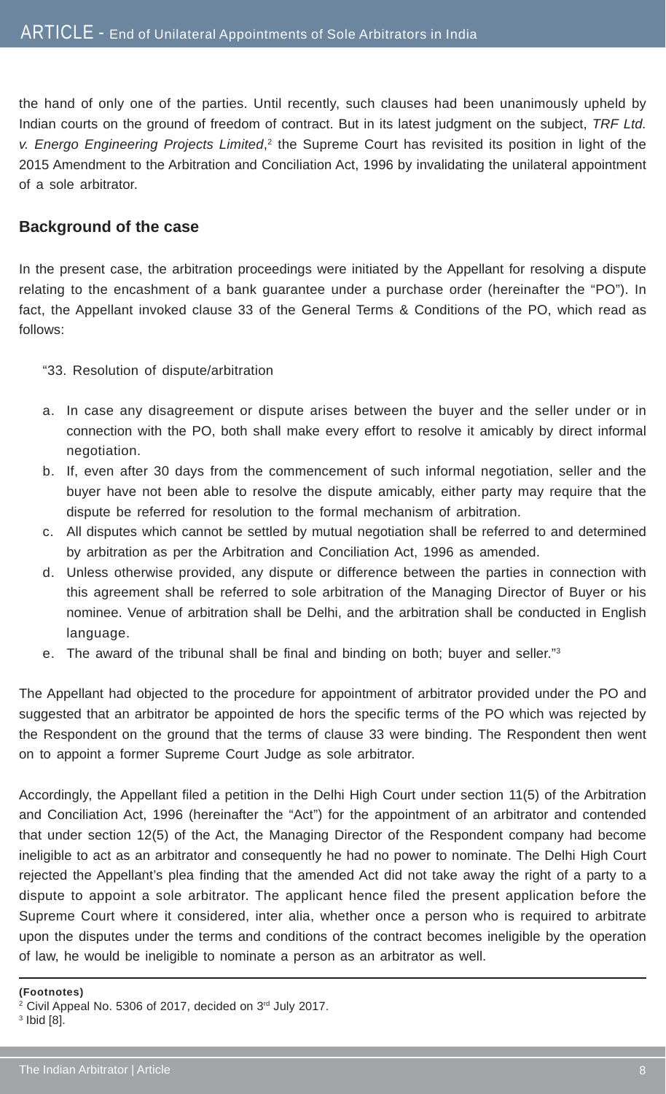the hand of only one of the parties. Until recently, such clauses had been unanimously upheld by Indian courts on the ground of freedom of contract. But in its latest judgment on the subject, *TRF Ltd.* v. Energo Engineering Projects Limited,<sup>2</sup> the Supreme Court has revisited its position in light of the 2015 Amendment to the Arbitration and Conciliation Act, 1996 by invalidating the unilateral appointment of a sole arbitrator.

#### **Background of the case**

In the present case, the arbitration proceedings were initiated by the Appellant for resolving a dispute relating to the encashment of a bank guarantee under a purchase order (hereinafter the "PO"). In fact, the Appellant invoked clause 33 of the General Terms & Conditions of the PO, which read as follows:

- "33. Resolution of dispute/arbitration
- a. In case any disagreement or dispute arises between the buyer and the seller under or in connection with the PO, both shall make every effort to resolve it amicably by direct informal negotiation.
- b. If, even after 30 days from the commencement of such informal negotiation, seller and the buyer have not been able to resolve the dispute amicably, either party may require that the dispute be referred for resolution to the formal mechanism of arbitration.
- c. All disputes which cannot be settled by mutual negotiation shall be referred to and determined by arbitration as per the Arbitration and Conciliation Act, 1996 as amended.
- d. Unless otherwise provided, any dispute or difference between the parties in connection with this agreement shall be referred to sole arbitration of the Managing Director of Buyer or his nominee. Venue of arbitration shall be Delhi, and the arbitration shall be conducted in English language.
- e. The award of the tribunal shall be final and binding on both; buyer and seller."3

The Appellant had objected to the procedure for appointment of arbitrator provided under the PO and suggested that an arbitrator be appointed de hors the specific terms of the PO which was rejected by the Respondent on the ground that the terms of clause 33 were binding. The Respondent then went on to appoint a former Supreme Court Judge as sole arbitrator.

Accordingly, the Appellant filed a petition in the Delhi High Court under section 11(5) of the Arbitration and Conciliation Act, 1996 (hereinafter the "Act") for the appointment of an arbitrator and contended that under section 12(5) of the Act, the Managing Director of the Respondent company had become ineligible to act as an arbitrator and consequently he had no power to nominate. The Delhi High Court rejected the Appellant's plea finding that the amended Act did not take away the right of a party to a dispute to appoint a sole arbitrator. The applicant hence filed the present application before the Supreme Court where it considered, inter alia, whether once a person who is required to arbitrate upon the disputes under the terms and conditions of the contract becomes ineligible by the operation of law, he would be ineligible to nominate a person as an arbitrator as well.

**<sup>(</sup>Footnotes)**

<sup>&</sup>lt;sup>2</sup> Civil Appeal No. 5306 of 2017, decided on 3rd July 2017.

<sup>3</sup> Ibid [8].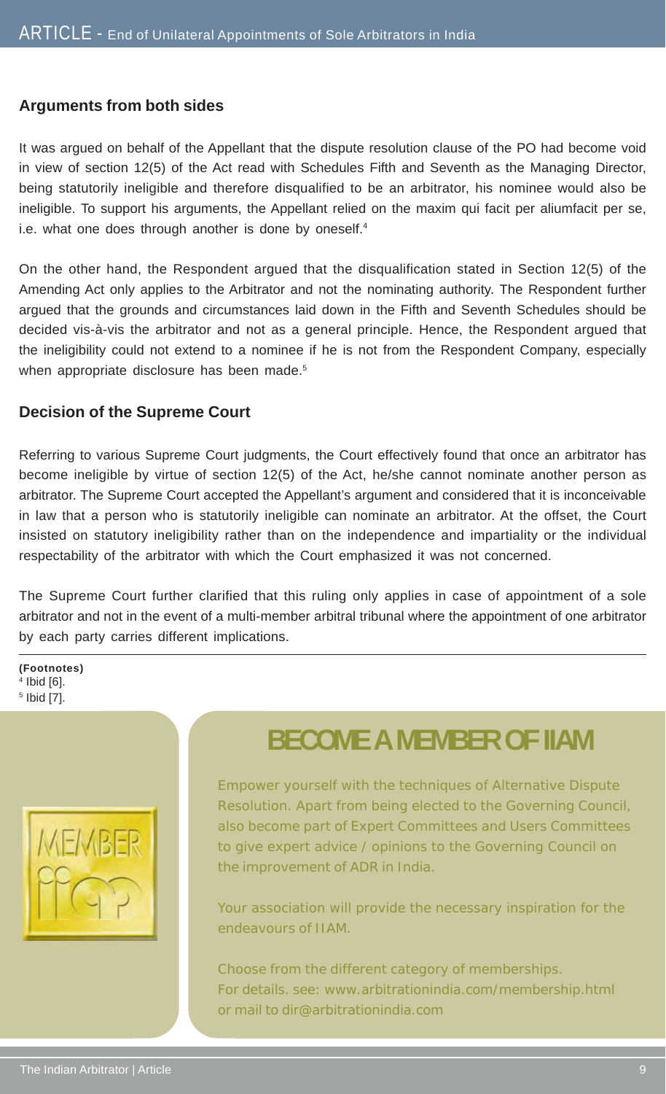#### **Arguments from both sides**

It was argued on behalf of the Appellant that the dispute resolution clause of the PO had become void in view of section 12(5) of the Act read with Schedules Fifth and Seventh as the Managing Director, being statutorily ineligible and therefore disqualified to be an arbitrator, his nominee would also be ineligible. To support his arguments, the Appellant relied on the maxim qui facit per aliumfacit per se, i.e. what one does through another is done by oneself.<sup>4</sup>

On the other hand, the Respondent argued that the disqualification stated in Section 12(5) of the Amending Act only applies to the Arbitrator and not the nominating authority. The Respondent further argued that the grounds and circumstances laid down in the Fifth and Seventh Schedules should be decided vis-à-vis the arbitrator and not as a general principle. Hence, the Respondent argued that the ineligibility could not extend to a nominee if he is not from the Respondent Company, especially when appropriate disclosure has been made.<sup>5</sup>

#### **Decision of the Supreme Court**

Referring to various Supreme Court judgments, the Court effectively found that once an arbitrator has become ineligible by virtue of section 12(5) of the Act, he/she cannot nominate another person as arbitrator. The Supreme Court accepted the Appellant's argument and considered that it is inconceivable in law that a person who is statutorily ineligible can nominate an arbitrator. At the offset, the Court insisted on statutory ineligibility rather than on the independence and impartiality or the individual respectability of the arbitrator with which the Court emphasized it was not concerned.

The Supreme Court further clarified that this ruling only applies in case of appointment of a sole arbitrator and not in the event of a multi-member arbitral tribunal where the appointment of one arbitrator by each party carries different implications.

**(Footnotes)** 4 Ibid [6]. 5 Ibid [7].



## **BECOME A MEMBER OF IIAM**

Empower yourself with the techniques of Alternative Dispute Resolution. Apart from being elected to the Governing Council, also become part of Expert Committees and Users Committees to give expert advice / opinions to the Governing Council on the improvement of ADR in India.

Your association will provide the necessary inspiration for the endeavours of IIAM.

Choose from the different category of memberships. For details. see: www.arbitrationindia.com/membership.html or mail to dir@arbitrationindia.com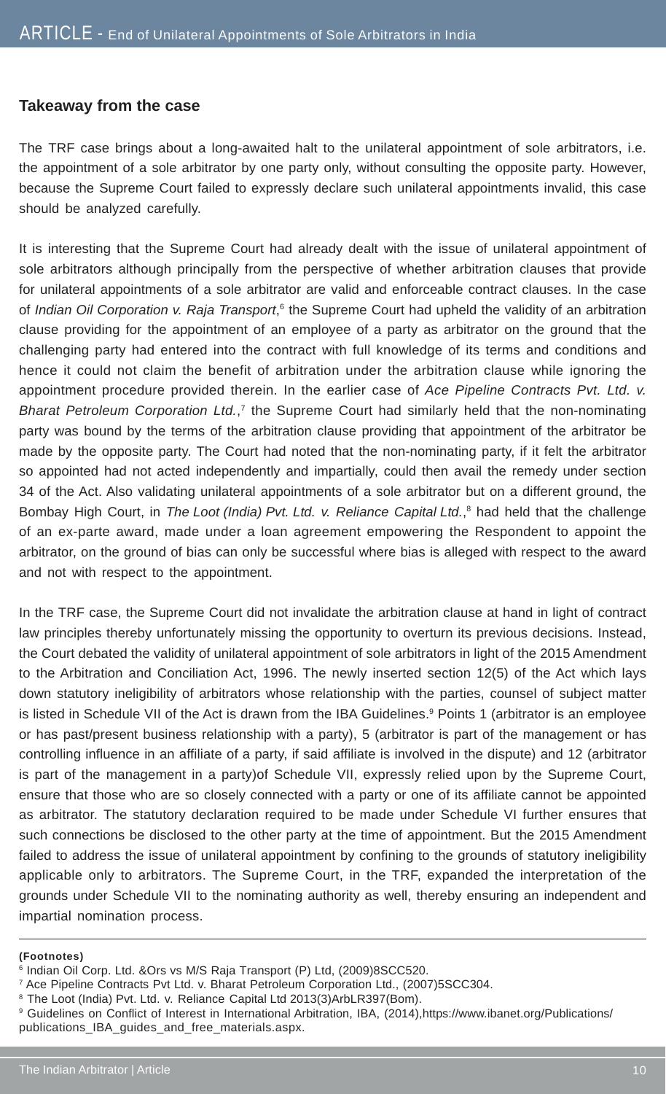#### **Takeaway from the case**

The TRF case brings about a long-awaited halt to the unilateral appointment of sole arbitrators, i.e. the appointment of a sole arbitrator by one party only, without consulting the opposite party. However, because the Supreme Court failed to expressly declare such unilateral appointments invalid, this case should be analyzed carefully.

It is interesting that the Supreme Court had already dealt with the issue of unilateral appointment of sole arbitrators although principally from the perspective of whether arbitration clauses that provide for unilateral appointments of a sole arbitrator are valid and enforceable contract clauses. In the case of *Indian Oil Corporation v. Raja Transport*,<sup>6</sup> the Supreme Court had upheld the validity of an arbitration clause providing for the appointment of an employee of a party as arbitrator on the ground that the challenging party had entered into the contract with full knowledge of its terms and conditions and hence it could not claim the benefit of arbitration under the arbitration clause while ignoring the appointment procedure provided therein. In the earlier case of *Ace Pipeline Contracts Pvt. Ltd. v. Bharat Petroleum Corporation Ltd.*, 7 the Supreme Court had similarly held that the non-nominating party was bound by the terms of the arbitration clause providing that appointment of the arbitrator be made by the opposite party. The Court had noted that the non-nominating party, if it felt the arbitrator so appointed had not acted independently and impartially, could then avail the remedy under section 34 of the Act. Also validating unilateral appointments of a sole arbitrator but on a different ground, the Bombay High Court, in *The Loot (India) Pvt. Ltd. v. Reliance Capital Ltd.*, 8 had held that the challenge of an ex-parte award, made under a loan agreement empowering the Respondent to appoint the arbitrator, on the ground of bias can only be successful where bias is alleged with respect to the award and not with respect to the appointment.

In the TRF case, the Supreme Court did not invalidate the arbitration clause at hand in light of contract law principles thereby unfortunately missing the opportunity to overturn its previous decisions. Instead, the Court debated the validity of unilateral appointment of sole arbitrators in light of the 2015 Amendment to the Arbitration and Conciliation Act, 1996. The newly inserted section 12(5) of the Act which lays down statutory ineligibility of arbitrators whose relationship with the parties, counsel of subject matter is listed in Schedule VII of the Act is drawn from the IBA Guidelines.<sup>9</sup> Points 1 (arbitrator is an employee or has past/present business relationship with a party), 5 (arbitrator is part of the management or has controlling influence in an affiliate of a party, if said affiliate is involved in the dispute) and 12 (arbitrator is part of the management in a party)of Schedule VII, expressly relied upon by the Supreme Court, ensure that those who are so closely connected with a party or one of its affiliate cannot be appointed as arbitrator. The statutory declaration required to be made under Schedule VI further ensures that such connections be disclosed to the other party at the time of appointment. But the 2015 Amendment failed to address the issue of unilateral appointment by confining to the grounds of statutory ineligibility applicable only to arbitrators. The Supreme Court, in the TRF, expanded the interpretation of the grounds under Schedule VII to the nominating authority as well, thereby ensuring an independent and impartial nomination process.

#### **(Footnotes)**

<sup>6</sup> Indian Oil Corp. Ltd. &Ors vs M/S Raja Transport (P) Ltd, (2009)8SCC520.

<sup>7</sup> Ace Pipeline Contracts Pvt Ltd. v. Bharat Petroleum Corporation Ltd., (2007)5SCC304.

<sup>&</sup>lt;sup>8</sup> The Loot (India) Pvt. Ltd. v. Reliance Capital Ltd 2013(3)ArbLR397(Bom).

<sup>9</sup> Guidelines on Conflict of Interest in International Arbitration, IBA, (2014),https://www.ibanet.org/Publications/ publications\_IBA\_guides\_and\_free\_materials.aspx.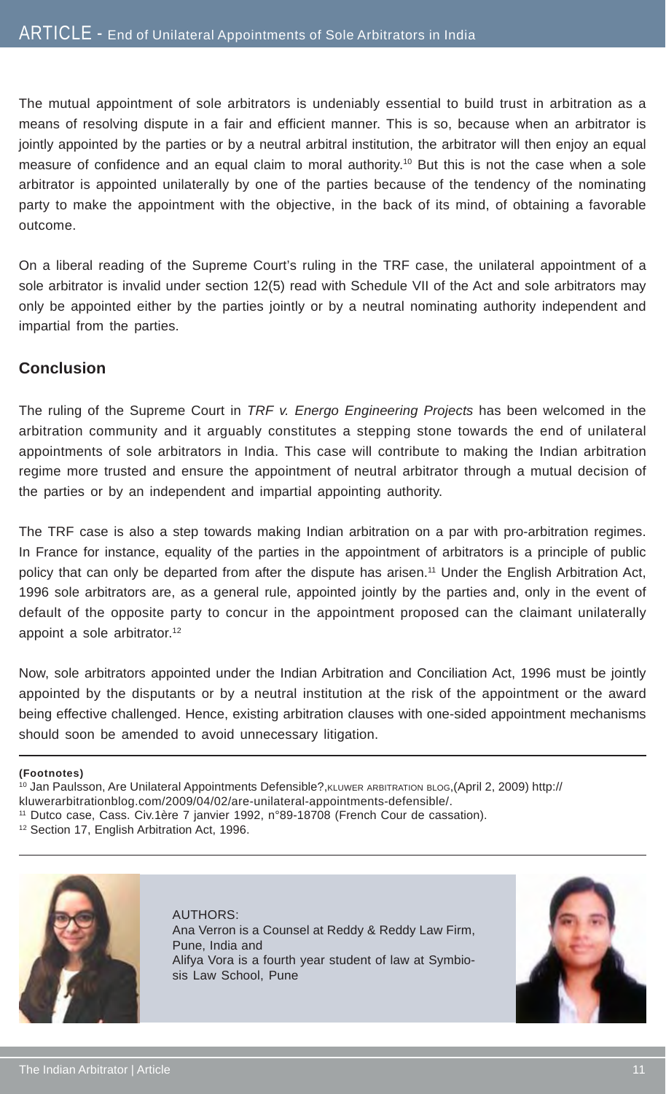The mutual appointment of sole arbitrators is undeniably essential to build trust in arbitration as a means of resolving dispute in a fair and efficient manner. This is so, because when an arbitrator is jointly appointed by the parties or by a neutral arbitral institution, the arbitrator will then enjoy an equal measure of confidence and an equal claim to moral authority.<sup>10</sup> But this is not the case when a sole arbitrator is appointed unilaterally by one of the parties because of the tendency of the nominating party to make the appointment with the objective, in the back of its mind, of obtaining a favorable outcome.

On a liberal reading of the Supreme Court's ruling in the TRF case, the unilateral appointment of a sole arbitrator is invalid under section 12(5) read with Schedule VII of the Act and sole arbitrators may only be appointed either by the parties jointly or by a neutral nominating authority independent and impartial from the parties.

#### **Conclusion**

The ruling of the Supreme Court in *TRF v. Energo Engineering Projects* has been welcomed in the arbitration community and it arguably constitutes a stepping stone towards the end of unilateral appointments of sole arbitrators in India. This case will contribute to making the Indian arbitration regime more trusted and ensure the appointment of neutral arbitrator through a mutual decision of the parties or by an independent and impartial appointing authority.

The TRF case is also a step towards making Indian arbitration on a par with pro-arbitration regimes. In France for instance, equality of the parties in the appointment of arbitrators is a principle of public policy that can only be departed from after the dispute has arisen.11 Under the English Arbitration Act, 1996 sole arbitrators are, as a general rule, appointed jointly by the parties and, only in the event of default of the opposite party to concur in the appointment proposed can the claimant unilaterally appoint a sole arbitrator.<sup>12</sup>

Now, sole arbitrators appointed under the Indian Arbitration and Conciliation Act, 1996 must be jointly appointed by the disputants or by a neutral institution at the risk of the appointment or the award being effective challenged. Hence, existing arbitration clauses with one-sided appointment mechanisms should soon be amended to avoid unnecessary litigation.

**(Footnotes)**

<sup>10</sup> Jan Paulsson, Are Unilateral Appointments Defensible?, KLUWER ARBITRATION BLOG, (April 2, 2009) http://

kluwerarbitrationblog.com/2009/04/02/are-unilateral-appointments-defensible/.

<sup>12</sup> Section 17, English Arbitration Act, 1996.



AUTHORS: Ana Verron is a Counsel at Reddy & Reddy Law Firm, Pune, India and Alifya Vora is a fourth year student of law at Symbiosis Law School, Pune



<sup>11</sup> Dutco case, Cass. Civ.1ère 7 janvier 1992, n°89-18708 (French Cour de cassation).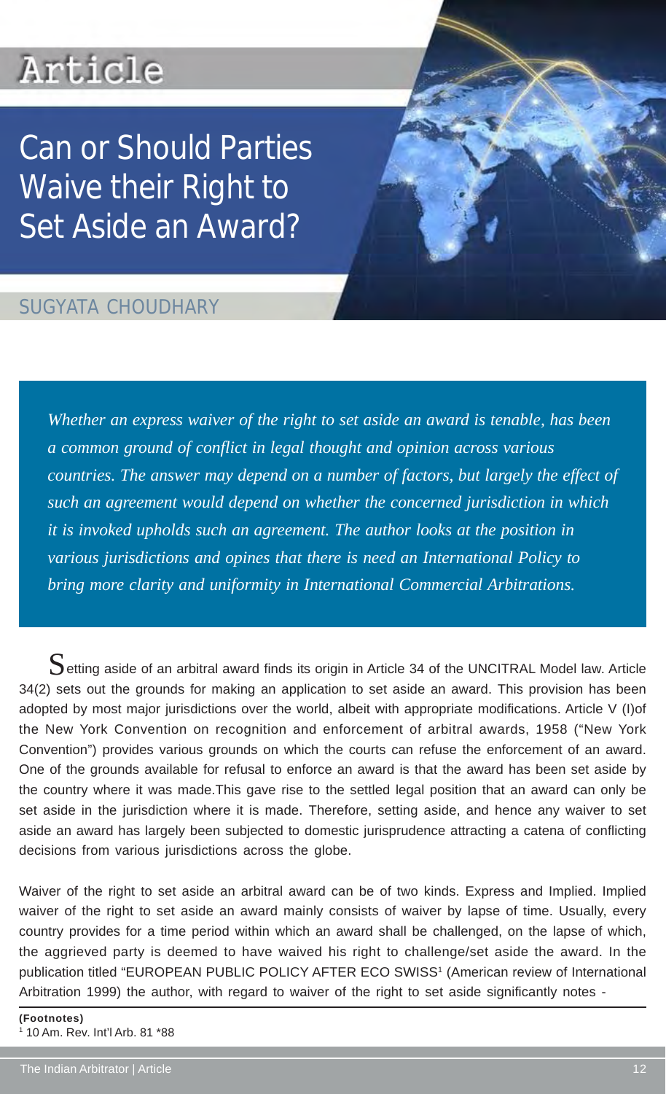## Article

Can or Should Parties Waive their Right to Set Aside an Award?

### SUGYATA CHOUDHARY

*Whether an express waiver of the right to set aside an award is tenable, has been a common ground of conflict in legal thought and opinion across various countries. The answer may depend on a number of factors, but largely the effect of such an agreement would depend on whether the concerned jurisdiction in which it is invoked upholds such an agreement. The author looks at the position in various jurisdictions and opines that there is need an International Policy to bring more clarity and uniformity in International Commercial Arbitrations.*

 $S$ etting aside of an arbitral award finds its origin in Article 34 of the UNCITRAL Model law. Article 34(2) sets out the grounds for making an application to set aside an award. This provision has been adopted by most major jurisdictions over the world, albeit with appropriate modifications. Article V (I)of the New York Convention on recognition and enforcement of arbitral awards, 1958 ("New York Convention") provides various grounds on which the courts can refuse the enforcement of an award. One of the grounds available for refusal to enforce an award is that the award has been set aside by the country where it was made.This gave rise to the settled legal position that an award can only be set aside in the jurisdiction where it is made. Therefore, setting aside, and hence any waiver to set aside an award has largely been subjected to domestic jurisprudence attracting a catena of conflicting decisions from various jurisdictions across the globe.

Waiver of the right to set aside an arbitral award can be of two kinds. Express and Implied. Implied waiver of the right to set aside an award mainly consists of waiver by lapse of time. Usually, every country provides for a time period within which an award shall be challenged, on the lapse of which, the aggrieved party is deemed to have waived his right to challenge/set aside the award. In the publication titled "EUROPEAN PUBLIC POLICY AFTER ECO SWISS<sup>1</sup> (American review of International Arbitration 1999) the author, with regard to waiver of the right to set aside significantly notes -

**(Footnotes)** 1 10 Am. Rev. Int'l Arb. 81 \*88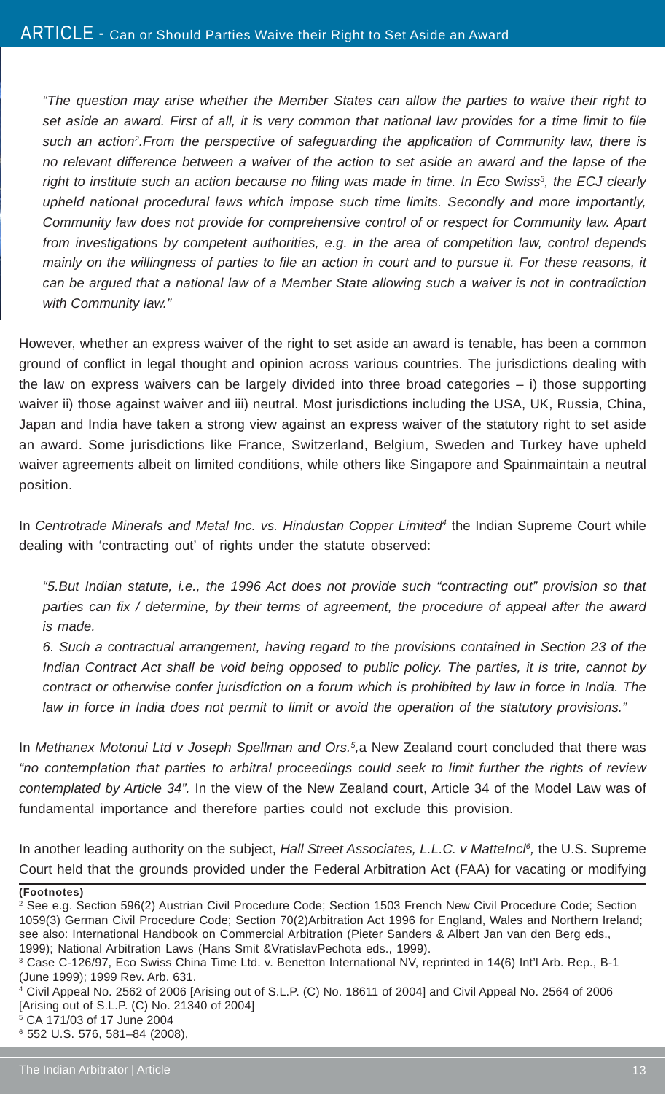*"The question may arise whether the Member States can allow the parties to waive their right to set aside an award. First of all, it is very common that national law provides for a time limit to file* such an action<sup>2</sup>. From the perspective of safeguarding the application of Community law, there is *no relevant difference between a waiver of the action to set aside an award and the lapse of the* right to institute such an action because no filing was made in time. In Eco Swiss<sup>3</sup>, the ECJ clearly *upheld national procedural laws which impose such time limits. Secondly and more importantly, Community law does not provide for comprehensive control of or respect for Community law. Apart from investigations by competent authorities, e.g. in the area of competition law, control depends mainly on the willingness of parties to file an action in court and to pursue it. For these reasons, it can be argued that a national law of a Member State allowing such a waiver is not in contradiction with Community law."*

However, whether an express waiver of the right to set aside an award is tenable, has been a common ground of conflict in legal thought and opinion across various countries. The jurisdictions dealing with the law on express waivers can be largely divided into three broad categories – i) those supporting waiver ii) those against waiver and iii) neutral. Most jurisdictions including the USA, UK, Russia, China, Japan and India have taken a strong view against an express waiver of the statutory right to set aside an award. Some jurisdictions like France, Switzerland, Belgium, Sweden and Turkey have upheld waiver agreements albeit on limited conditions, while others like Singapore and Spainmaintain a neutral position.

In *Centrotrade Minerals and Metal Inc. vs. Hindustan Copper Limited<sup>4</sup> the Indian Supreme Court while* dealing with 'contracting out' of rights under the statute observed:

*"5.But Indian statute, i.e., the 1996 Act does not provide such "contracting out" provision so that parties can fix / determine, by their terms of agreement, the procedure of appeal after the award is made.*

*6. Such a contractual arrangement, having regard to the provisions contained in Section 23 of the Indian Contract Act shall be void being opposed to public policy. The parties, it is trite, cannot by contract or otherwise confer jurisdiction on a forum which is prohibited by law in force in India. The law in force in India does not permit to limit or avoid the operation of the statutory provisions."*

In *Methanex Motonui Ltd v Joseph Spellman and Ors.<sup>5</sup>,a New Zealand court concluded that there was "no contemplation that parties to arbitral proceedings could seek to limit further the rights of review contemplated by Article 34".* In the view of the New Zealand court, Article 34 of the Model Law was of fundamental importance and therefore parties could not exclude this provision.

In another leading authority on the subject, *Hall Street Associates, L.L.C. v Mattelncl*<sup>6</sup>, the U.S. Supreme Court held that the grounds provided under the Federal Arbitration Act (FAA) for vacating or modifying

**<sup>(</sup>Footnotes)**

<sup>2</sup> See e.g. Section 596(2) Austrian Civil Procedure Code; Section 1503 French New Civil Procedure Code; Section 1059(3) German Civil Procedure Code; Section 70(2)Arbitration Act 1996 for England, Wales and Northern Ireland; see also: International Handbook on Commercial Arbitration (Pieter Sanders & Albert Jan van den Berg eds., 1999); National Arbitration Laws (Hans Smit &VratislavPechota eds., 1999).

<sup>3</sup> Case C-126/97, Eco Swiss China Time Ltd. v. Benetton International NV, reprinted in 14(6) Int'l Arb. Rep., B-1 (June 1999); 1999 Rev. Arb. 631.

<sup>4</sup> Civil Appeal No. 2562 of 2006 [Arising out of S.L.P. (C) No. 18611 of 2004] and Civil Appeal No. 2564 of 2006 [Arising out of S.L.P. (C) No. 21340 of 2004]

<sup>5</sup> CA 171/03 of 17 June 2004

<sup>6</sup> 552 U.S. 576, 581–84 (2008),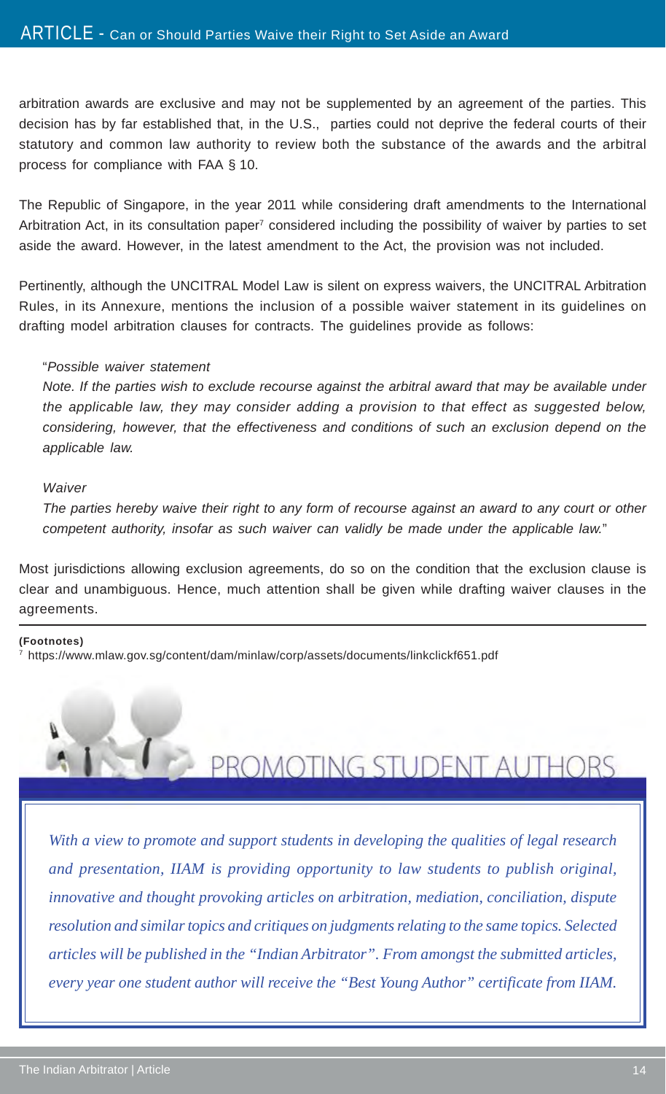arbitration awards are exclusive and may not be supplemented by an agreement of the parties. This decision has by far established that, in the U.S., parties could not deprive the federal courts of their statutory and common law authority to review both the substance of the awards and the arbitral process for compliance with FAA § 10.

The Republic of Singapore, in the year 2011 while considering draft amendments to the International Arbitration Act, in its consultation paper<sup>7</sup> considered including the possibility of waiver by parties to set aside the award. However, in the latest amendment to the Act, the provision was not included.

Pertinently, although the UNCITRAL Model Law is silent on express waivers, the UNCITRAL Arbitration Rules, in its Annexure, mentions the inclusion of a possible waiver statement in its guidelines on drafting model arbitration clauses for contracts. The guidelines provide as follows:

#### "*Possible waiver statement*

*Note. If the parties wish to exclude recourse against the arbitral award that may be available under the applicable law, they may consider adding a provision to that effect as suggested below, considering, however, that the effectiveness and conditions of such an exclusion depend on the applicable law.*

#### *Waiver*

*The parties hereby waive their right to any form of recourse against an award to any court or other competent authority, insofar as such waiver can validly be made under the applicable law.*"

Most jurisdictions allowing exclusion agreements, do so on the condition that the exclusion clause is clear and unambiguous. Hence, much attention shall be given while drafting waiver clauses in the agreements.

#### **(Footnotes)**

7 https://www.mlaw.gov.sg/content/dam/minlaw/corp/assets/documents/linkclickf651.pdf



PROMOTING STUDENT AUTHORS

*With a view to promote and support students in developing the qualities of legal research and presentation, IIAM is providing opportunity to law students to publish original, innovative and thought provoking articles on arbitration, mediation, conciliation, dispute resolution and similar topics and critiques on judgments relating to the same topics. Selected articles will be published in the "Indian Arbitrator". From amongst the submitted articles, every year one student author will receive the "Best Young Author" certificate from IIAM.*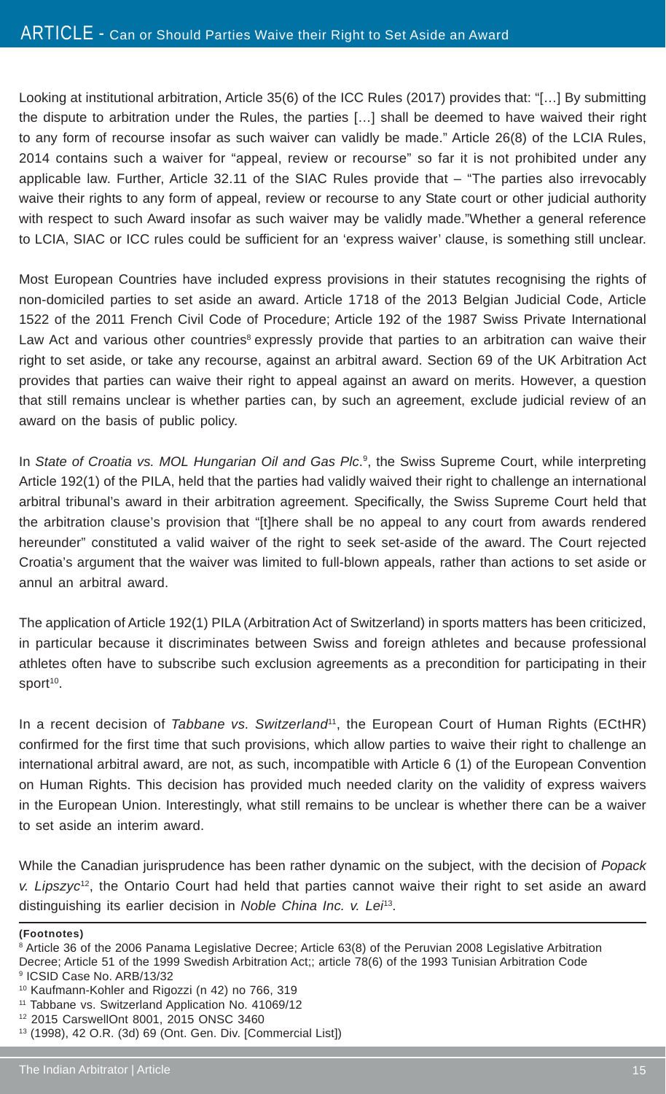Looking at institutional arbitration, Article 35(6) of the ICC Rules (2017) provides that: "[…] By submitting the dispute to arbitration under the Rules, the parties […] shall be deemed to have waived their right to any form of recourse insofar as such waiver can validly be made." Article 26(8) of the LCIA Rules, 2014 contains such a waiver for "appeal, review or recourse" so far it is not prohibited under any applicable law. Further, Article 32.11 of the SIAC Rules provide that – "The parties also irrevocably waive their rights to any form of appeal, review or recourse to any State court or other judicial authority with respect to such Award insofar as such waiver may be validly made."Whether a general reference to LCIA, SIAC or ICC rules could be sufficient for an 'express waiver' clause, is something still unclear.

Most European Countries have included express provisions in their statutes recognising the rights of non-domiciled parties to set aside an award. Article 1718 of the 2013 Belgian Judicial Code, Article 1522 of the 2011 French Civil Code of Procedure; Article 192 of the 1987 Swiss Private International Law Act and various other countries<sup>8</sup> expressly provide that parties to an arbitration can waive their right to set aside, or take any recourse, against an arbitral award. Section 69 of the UK Arbitration Act provides that parties can waive their right to appeal against an award on merits. However, a question that still remains unclear is whether parties can, by such an agreement, exclude judicial review of an award on the basis of public policy.

In *State of Croatia vs. MOL Hungarian Oil and Gas Plc*.<sup>9</sup>, the Swiss Supreme Court, while interpreting Article 192(1) of the PILA, held that the parties had validly waived their right to challenge an international arbitral tribunal's award in their arbitration agreement. Specifically, the Swiss Supreme Court held that the arbitration clause's provision that "[t]here shall be no appeal to any court from awards rendered hereunder" constituted a valid waiver of the right to seek set-aside of the award. The Court rejected Croatia's argument that the waiver was limited to full-blown appeals, rather than actions to set aside or annul an arbitral award.

The application of Article 192(1) PILA (Arbitration Act of Switzerland) in sports matters has been criticized, in particular because it discriminates between Swiss and foreign athletes and because professional athletes often have to subscribe such exclusion agreements as a precondition for participating in their sport<sup>10</sup>.

In a recent decision of *Tabbane vs. Switzerland*<sup>11</sup>, the European Court of Human Rights (ECtHR) confirmed for the first time that such provisions, which allow parties to waive their right to challenge an international arbitral award, are not, as such, incompatible with Article 6 (1) of the European Convention on Human Rights. This decision has provided much needed clarity on the validity of express waivers in the European Union. Interestingly, what still remains to be unclear is whether there can be a waiver to set aside an interim award.

While the Canadian jurisprudence has been rather dynamic on the subject, with the decision of *Popack v. Lipszyc*12, the Ontario Court had held that parties cannot waive their right to set aside an award distinguishing its earlier decision in *Noble China Inc. v. Lei*13.

**(Footnotes)**

<sup>8</sup> Article 36 of the 2006 Panama Legislative Decree; Article 63(8) of the Peruvian 2008 Legislative Arbitration Decree; Article 51 of the 1999 Swedish Arbitration Act;; article 78(6) of the 1993 Tunisian Arbitration Code 9 ICSID Case No. ARB/13/32

<sup>10</sup> Kaufmann-Kohler and Rigozzi (n 42) no 766, 319

<sup>&</sup>lt;sup>11</sup> Tabbane vs. Switzerland Application No. 41069/12

<sup>12 2015</sup> CarswellOnt 8001, 2015 ONSC 3460

<sup>13 (1998), 42</sup> O.R. (3d) 69 (Ont. Gen. Div. [Commercial List])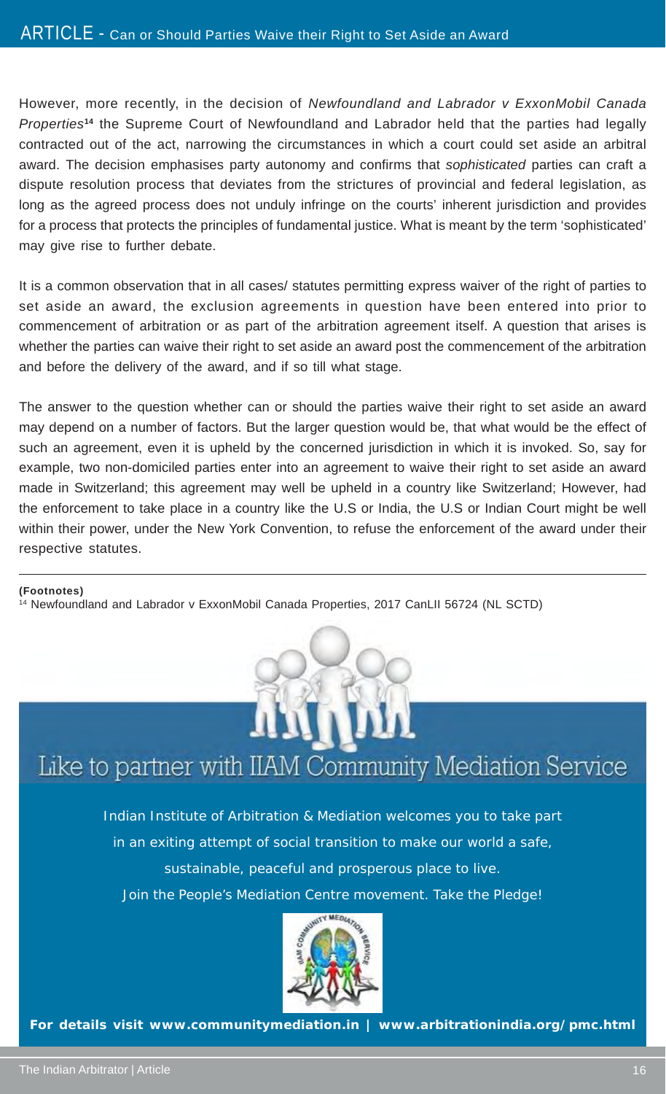However, more recently, in the decision of *Newfoundland and Labrador v ExxonMobil Canada Properties***<sup>14</sup>** the Supreme Court of Newfoundland and Labrador held that the parties had legally contracted out of the act, narrowing the circumstances in which a court could set aside an arbitral award. The decision emphasises party autonomy and confirms that *sophisticated* parties can craft a dispute resolution process that deviates from the strictures of provincial and federal legislation, as long as the agreed process does not unduly infringe on the courts' inherent jurisdiction and provides for a process that protects the principles of fundamental justice. What is meant by the term 'sophisticated' may give rise to further debate.

It is a common observation that in all cases/ statutes permitting express waiver of the right of parties to set aside an award, the exclusion agreements in question have been entered into prior to commencement of arbitration or as part of the arbitration agreement itself. A question that arises is whether the parties can waive their right to set aside an award post the commencement of the arbitration and before the delivery of the award, and if so till what stage.

The answer to the question whether can or should the parties waive their right to set aside an award may depend on a number of factors. But the larger question would be, that what would be the effect of such an agreement, even it is upheld by the concerned jurisdiction in which it is invoked. So, say for example, two non-domiciled parties enter into an agreement to waive their right to set aside an award made in Switzerland; this agreement may well be upheld in a country like Switzerland; However, had the enforcement to take place in a country like the U.S or India, the U.S or Indian Court might be well within their power, under the New York Convention, to refuse the enforcement of the award under their respective statutes.

#### **(Footnotes)**

14 Newfoundland and Labrador v ExxonMobil Canada Properties, 2017 CanLII 56724 (NL SCTD)



## Like to partner with IIAM Community Mediation Service

Indian Institute of Arbitration & Mediation welcomes you to take part in an exiting attempt of social transition to make our world a safe, sustainable, peaceful and prosperous place to live. Join the People's Mediation Centre movement. Take the Pledge!



**For details visit www.communitymediation.in | www.arbitrationindia.org/pmc.html**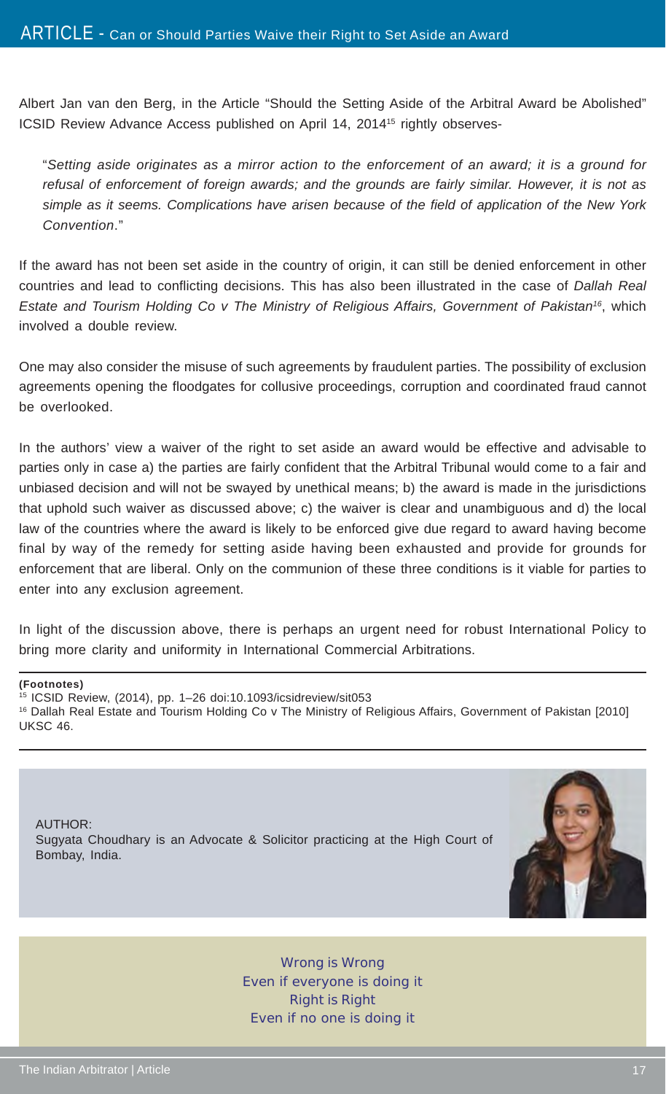Albert Jan van den Berg, in the Article "Should the Setting Aside of the Arbitral Award be Abolished" ICSID Review Advance Access published on April 14, 2014<sup>15</sup> rightly observes-

"*Setting aside originates as a mirror action to the enforcement of an award; it is a ground for refusal of enforcement of foreign awards; and the grounds are fairly similar. However, it is not as simple as it seems. Complications have arisen because of the field of application of the New York Convention*."

If the award has not been set aside in the country of origin, it can still be denied enforcement in other countries and lead to conflicting decisions. This has also been illustrated in the case of *Dallah Real Estate and Tourism Holding Co v The Ministry of Religious Affairs, Government of Pakistan16*, which involved a double review.

One may also consider the misuse of such agreements by fraudulent parties. The possibility of exclusion agreements opening the floodgates for collusive proceedings, corruption and coordinated fraud cannot be overlooked.

In the authors' view a waiver of the right to set aside an award would be effective and advisable to parties only in case a) the parties are fairly confident that the Arbitral Tribunal would come to a fair and unbiased decision and will not be swayed by unethical means; b) the award is made in the jurisdictions that uphold such waiver as discussed above; c) the waiver is clear and unambiguous and d) the local law of the countries where the award is likely to be enforced give due regard to award having become final by way of the remedy for setting aside having been exhausted and provide for grounds for enforcement that are liberal. Only on the communion of these three conditions is it viable for parties to enter into any exclusion agreement.

In light of the discussion above, there is perhaps an urgent need for robust International Policy to bring more clarity and uniformity in International Commercial Arbitrations.

#### **(Footnotes)**

15 ICSID Review, (2014), pp. 1–26 doi:10.1093/icsidreview/sit053 16 Dallah Real Estate and Tourism Holding Co v The Ministry of Religious Affairs, Government of Pakistan [2010] UKSC 46.

AUTHOR: Sugyata Choudhary is an Advocate & Solicitor practicing at the High Court of Bombay, India.



Wrong is Wrong Even if everyone is doing it Right is Right Even if no one is doing it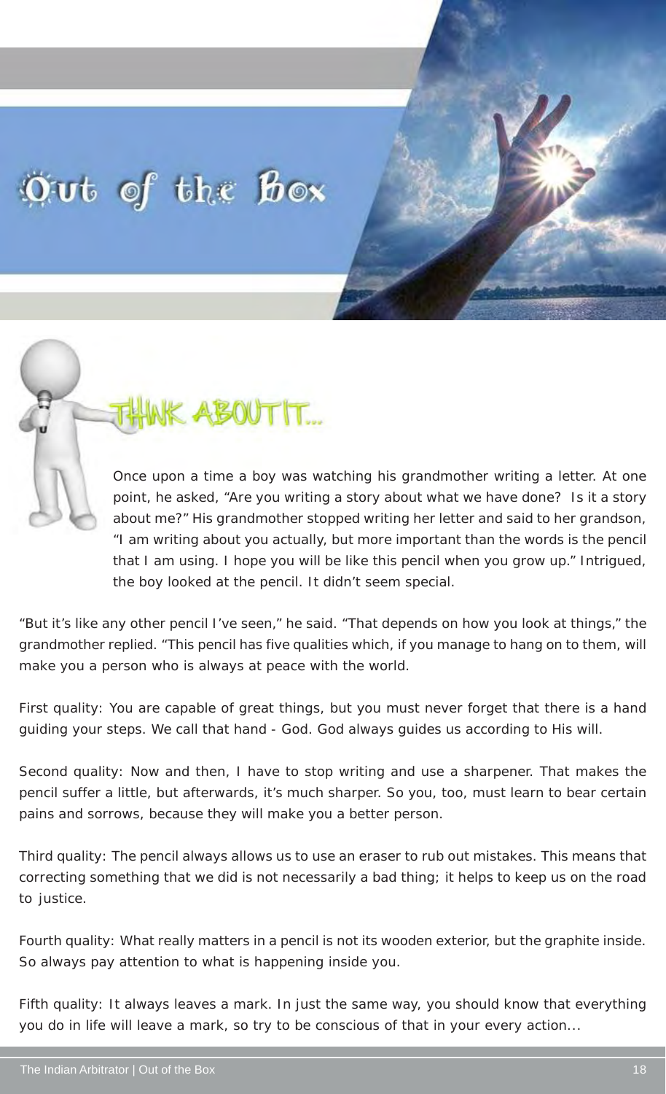## Out of the Box

**ABOUTIT...** 

Once upon a time a boy was watching his grandmother writing a letter. At one point, he asked, "Are you writing a story about what we have done? Is it a story about me?" His grandmother stopped writing her letter and said to her grandson, "I am writing about you actually, but more important than the words is the pencil that I am using. I hope you will be like this pencil when you grow up." Intrigued, the boy looked at the pencil. It didn't seem special.

"But it's like any other pencil I've seen," he said. "That depends on how you look at things," the grandmother replied. "This pencil has five qualities which, if you manage to hang on to them, will make you a person who is always at peace with the world.

First quality: You are capable of great things, but you must never forget that there is a hand guiding your steps. We call that hand - God. God always guides us according to His will.

Second quality: Now and then, I have to stop writing and use a sharpener. That makes the pencil suffer a little, but afterwards, it's much sharper. So you, too, must learn to bear certain pains and sorrows, because they will make you a better person.

Third quality: The pencil always allows us to use an eraser to rub out mistakes. This means that correcting something that we did is not necessarily a bad thing; it helps to keep us on the road to justice.

Fourth quality: What really matters in a pencil is not its wooden exterior, but the graphite inside. So always pay attention to what is happening inside you.

Fifth quality: It always leaves a mark. In just the same way, you should know that everything you do in life will leave a mark, so try to be conscious of that in your every action...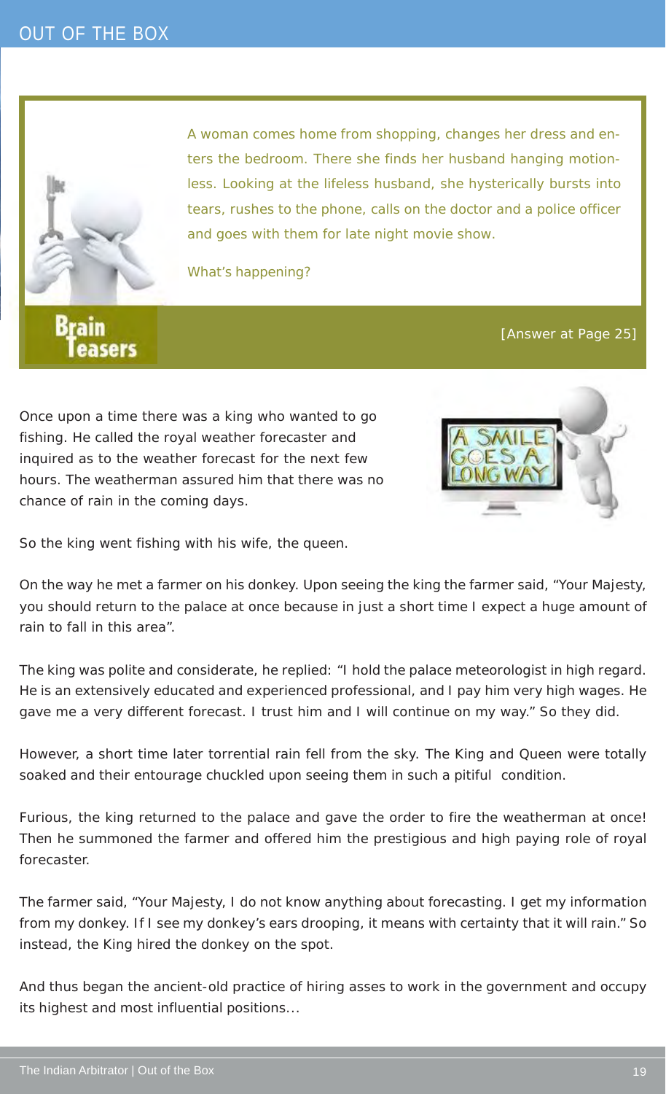

A woman comes home from shopping, changes her dress and enters the bedroom. There she finds her husband hanging motionless. Looking at the lifeless husband, she hysterically bursts into tears, rushes to the phone, calls on the doctor and a police officer and goes with them for late night movie show.

What's happening?

**Brain** asers

[Answer at Page 25]

Once upon a time there was a king who wanted to go fishing. He called the royal weather forecaster and inquired as to the weather forecast for the next few hours. The weatherman assured him that there was no chance of rain in the coming days.



So the king went fishing with his wife, the queen.

On the way he met a farmer on his donkey. Upon seeing the king the farmer said, "Your Majesty, you should return to the palace at once because in just a short time I expect a huge amount of rain to fall in this area".

The king was polite and considerate, he replied: "I hold the palace meteorologist in high regard. He is an extensively educated and experienced professional, and I pay him very high wages. He gave me a very different forecast. I trust him and I will continue on my way." So they did.

However, a short time later torrential rain fell from the sky. The King and Queen were totally soaked and their entourage chuckled upon seeing them in such a pitiful condition.

Furious, the king returned to the palace and gave the order to fire the weatherman at once! Then he summoned the farmer and offered him the prestigious and high paying role of royal forecaster.

The farmer said, "Your Majesty, I do not know anything about forecasting. I get my information from my donkey. If I see my donkey's ears drooping, it means with certainty that it will rain." So instead, the King hired the donkey on the spot.

And thus began the ancient-old practice of hiring asses to work in the government and occupy its highest and most influential positions...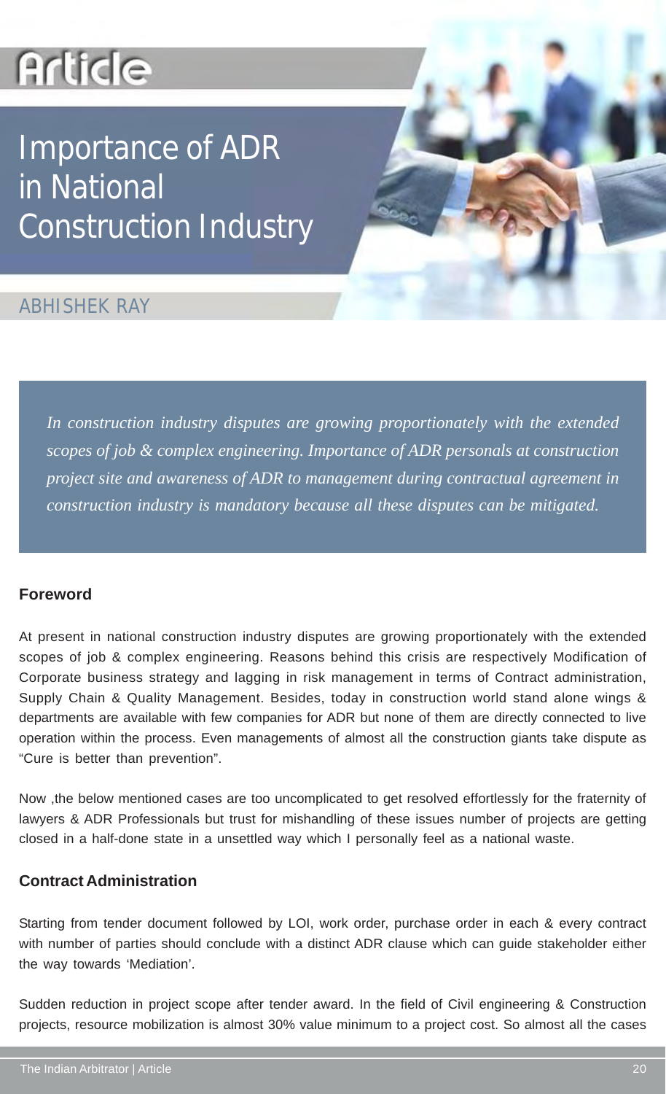## **Article**

## Importance of ADR in National Construction Industry

### ABHISHEK RAY

*In construction industry disputes are growing proportionately with the extended scopes of job & complex engineering. Importance of ADR personals at construction project site and awareness of ADR to management during contractual agreement in construction industry is mandatory because all these disputes can be mitigated.*

#### **Foreword**

At present in national construction industry disputes are growing proportionately with the extended scopes of job & complex engineering. Reasons behind this crisis are respectively Modification of Corporate business strategy and lagging in risk management in terms of Contract administration, Supply Chain & Quality Management. Besides, today in construction world stand alone wings & departments are available with few companies for ADR but none of them are directly connected to live operation within the process. Even managements of almost all the construction giants take dispute as "Cure is better than prevention".

Now ,the below mentioned cases are too uncomplicated to get resolved effortlessly for the fraternity of lawyers & ADR Professionals but trust for mishandling of these issues number of projects are getting closed in a half-done state in a unsettled way which I personally feel as a national waste.

#### **Contract Administration**

Starting from tender document followed by LOI, work order, purchase order in each & every contract with number of parties should conclude with a distinct ADR clause which can guide stakeholder either the way towards 'Mediation'.

Sudden reduction in project scope after tender award. In the field of Civil engineering & Construction projects, resource mobilization is almost 30% value minimum to a project cost. So almost all the cases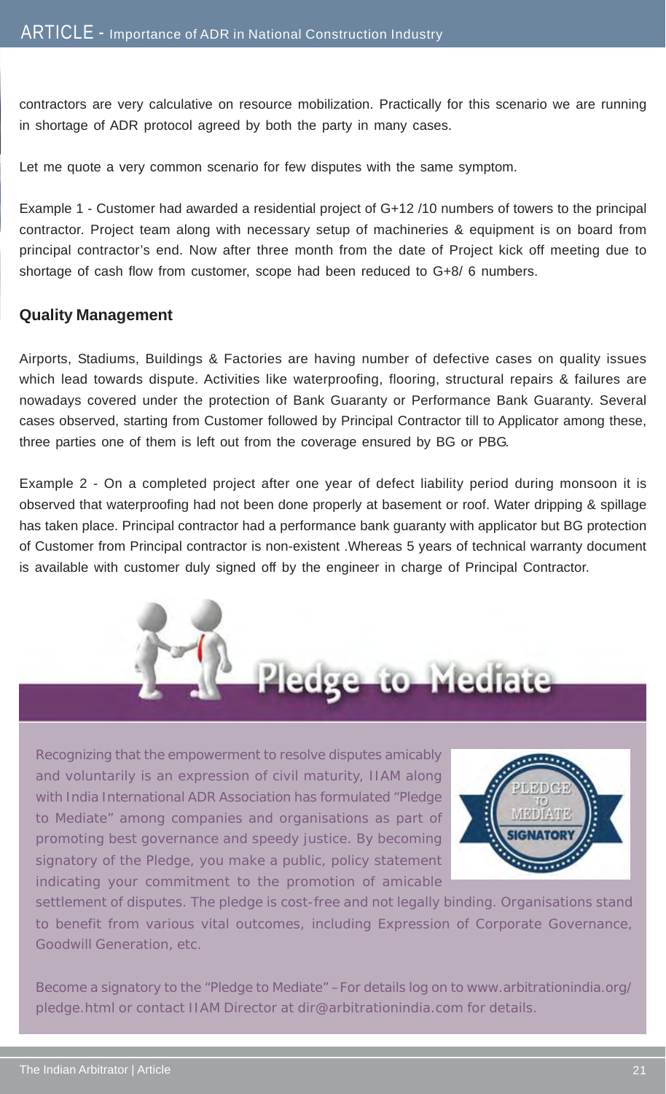contractors are very calculative on resource mobilization. Practically for this scenario we are running in shortage of ADR protocol agreed by both the party in many cases.

Let me quote a very common scenario for few disputes with the same symptom.

Example 1 - Customer had awarded a residential project of G+12 /10 numbers of towers to the principal contractor. Project team along with necessary setup of machineries & equipment is on board from principal contractor's end. Now after three month from the date of Project kick off meeting due to shortage of cash flow from customer, scope had been reduced to G+8/ 6 numbers.

#### **Quality Management**

Airports, Stadiums, Buildings & Factories are having number of defective cases on quality issues which lead towards dispute. Activities like waterproofing, flooring, structural repairs & failures are nowadays covered under the protection of Bank Guaranty or Performance Bank Guaranty. Several cases observed, starting from Customer followed by Principal Contractor till to Applicator among these, three parties one of them is left out from the coverage ensured by BG or PBG.

Example 2 - On a completed project after one year of defect liability period during monsoon it is observed that waterproofing had not been done properly at basement or roof. Water dripping & spillage has taken place. Principal contractor had a performance bank guaranty with applicator but BG protection of Customer from Principal contractor is non-existent .Whereas 5 years of technical warranty document is available with customer duly signed off by the engineer in charge of Principal Contractor.





Recognizing that the empowerment to resolve disputes amicably and voluntarily is an expression of civil maturity, IIAM along with India International ADR Association has formulated "Pledge to Mediate" among companies and organisations as part of promoting best governance and speedy justice. By becoming signatory of the Pledge, you make a public, policy statement indicating your commitment to the promotion of amicable



settlement of disputes. The pledge is cost-free and not legally binding. Organisations stand to benefit from various vital outcomes, including Expression of Corporate Governance, Goodwill Generation, etc.

Become a signatory to the "Pledge to Mediate" –For details log on to www.arbitrationindia.org/ pledge.html or contact IIAM Director at dir@arbitrationindia.com for details.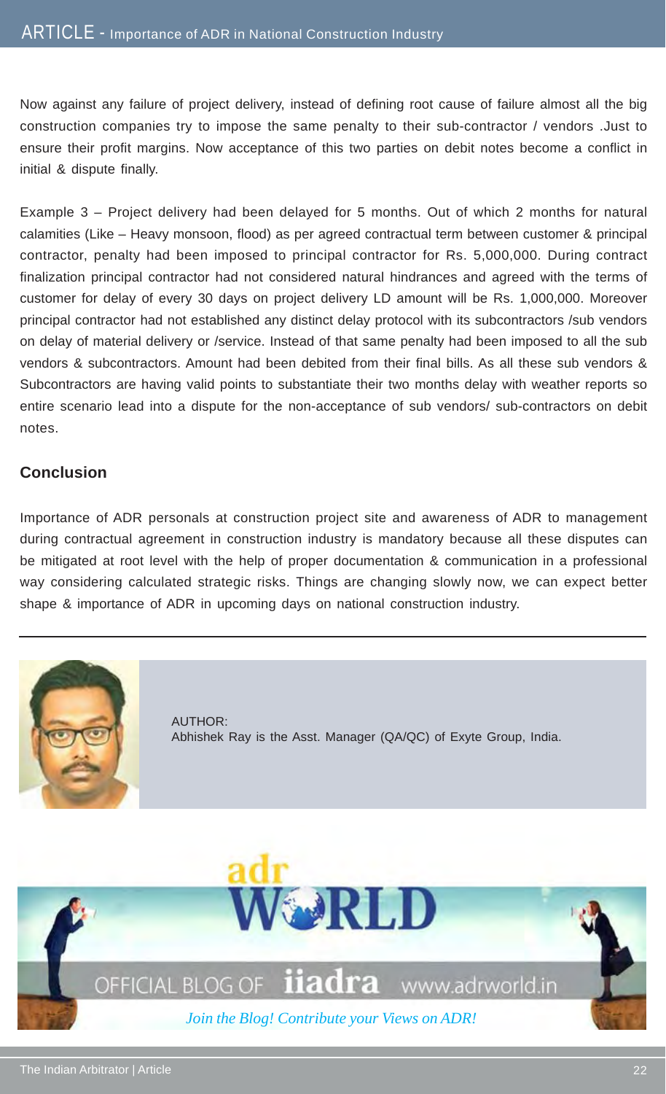Now against any failure of project delivery, instead of defining root cause of failure almost all the big construction companies try to impose the same penalty to their sub-contractor / vendors .Just to ensure their profit margins. Now acceptance of this two parties on debit notes become a conflict in initial & dispute finally.

Example 3 – Project delivery had been delayed for 5 months. Out of which 2 months for natural calamities (Like – Heavy monsoon, flood) as per agreed contractual term between customer & principal contractor, penalty had been imposed to principal contractor for Rs. 5,000,000. During contract finalization principal contractor had not considered natural hindrances and agreed with the terms of customer for delay of every 30 days on project delivery LD amount will be Rs. 1,000,000. Moreover principal contractor had not established any distinct delay protocol with its subcontractors /sub vendors on delay of material delivery or /service. Instead of that same penalty had been imposed to all the sub vendors & subcontractors. Amount had been debited from their final bills. As all these sub vendors & Subcontractors are having valid points to substantiate their two months delay with weather reports so entire scenario lead into a dispute for the non-acceptance of sub vendors/ sub-contractors on debit notes.

#### **Conclusion**

Importance of ADR personals at construction project site and awareness of ADR to management during contractual agreement in construction industry is mandatory because all these disputes can be mitigated at root level with the help of proper documentation & communication in a professional way considering calculated strategic risks. Things are changing slowly now, we can expect better shape & importance of ADR in upcoming days on national construction industry.



AUTHOR: Abhishek Ray is the Asst. Manager (QA/QC) of Exyte Group, India.

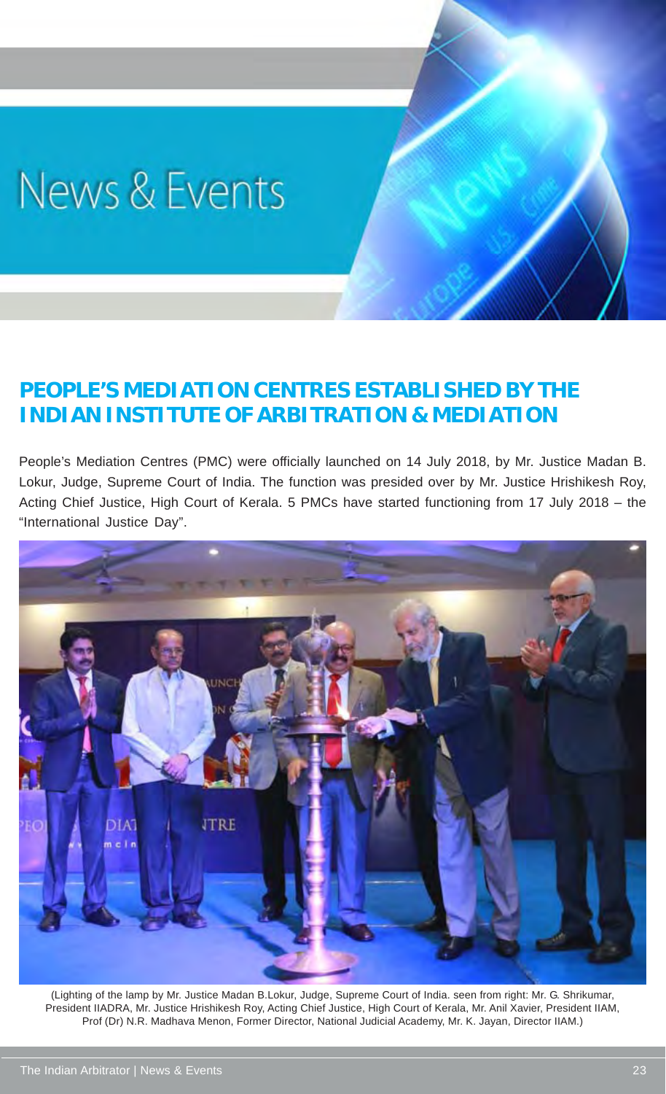## News & Events

## **PEOPLE'S MEDIATION CENTRES ESTABLISHED BY THE INDIAN INSTITUTE OF ARBITRATION & MEDIATION**

People's Mediation Centres (PMC) were officially launched on 14 July 2018, by Mr. Justice Madan B. Lokur, Judge, Supreme Court of India. The function was presided over by Mr. Justice Hrishikesh Roy, Acting Chief Justice, High Court of Kerala. 5 PMCs have started functioning from 17 July 2018 – the "International Justice Day".



(Lighting of the lamp by Mr. Justice Madan B.Lokur, Judge, Supreme Court of India. seen from right: Mr. G. Shrikumar, President IIADRA, Mr. Justice Hrishikesh Roy, Acting Chief Justice, High Court of Kerala, Mr. Anil Xavier, President IIAM, Prof (Dr) N.R. Madhava Menon, Former Director, National Judicial Academy, Mr. K. Jayan, Director IIAM.)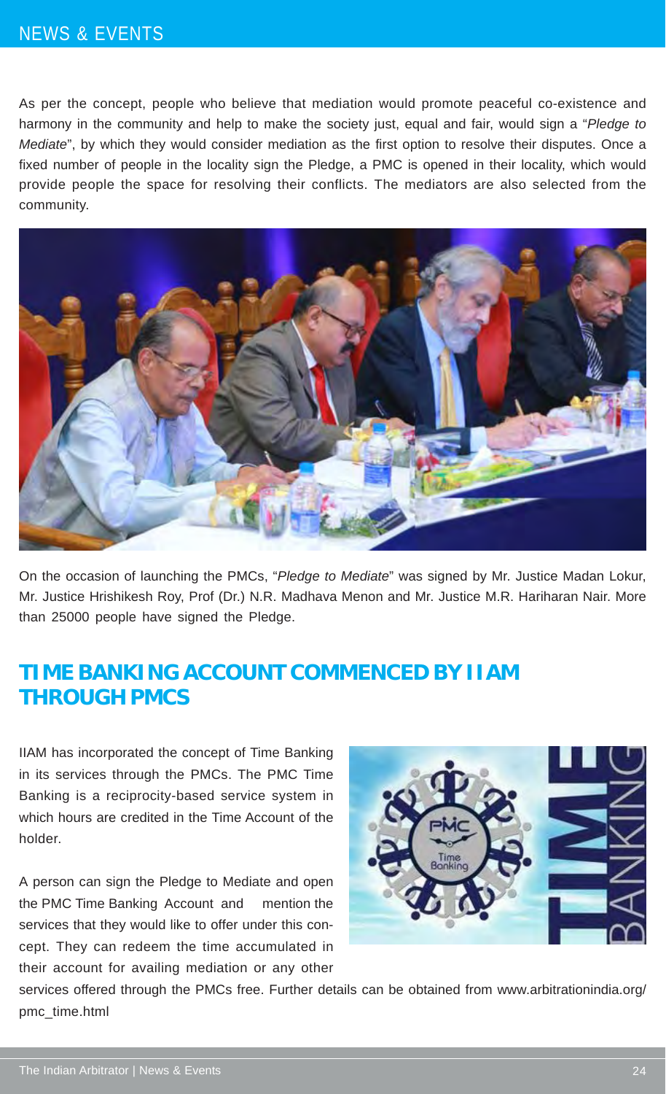### NEWS & EVENTS

As per the concept, people who believe that mediation would promote peaceful co-existence and harmony in the community and help to make the society just, equal and fair, would sign a "*Pledge to Mediate*", by which they would consider mediation as the first option to resolve their disputes. Once a fixed number of people in the locality sign the Pledge, a PMC is opened in their locality, which would provide people the space for resolving their conflicts. The mediators are also selected from the community.



On the occasion of launching the PMCs, "*Pledge to Mediate*" was signed by Mr. Justice Madan Lokur, Mr. Justice Hrishikesh Roy, Prof (Dr.) N.R. Madhava Menon and Mr. Justice M.R. Hariharan Nair. More than 25000 people have signed the Pledge.

### **TIME BANKING ACCOUNT COMMENCED BY IIAM THROUGH PMCS**

IIAM has incorporated the concept of Time Banking in its services through the PMCs. The PMC Time Banking is a reciprocity-based service system in which hours are credited in the Time Account of the holder.

A person can sign the Pledge to Mediate and open the PMC Time Banking Account and mention the services that they would like to offer under this concept. They can redeem the time accumulated in their account for availing mediation or any other



services offered through the PMCs free. Further details can be obtained from www.arbitrationindia.org/ pmc\_time.html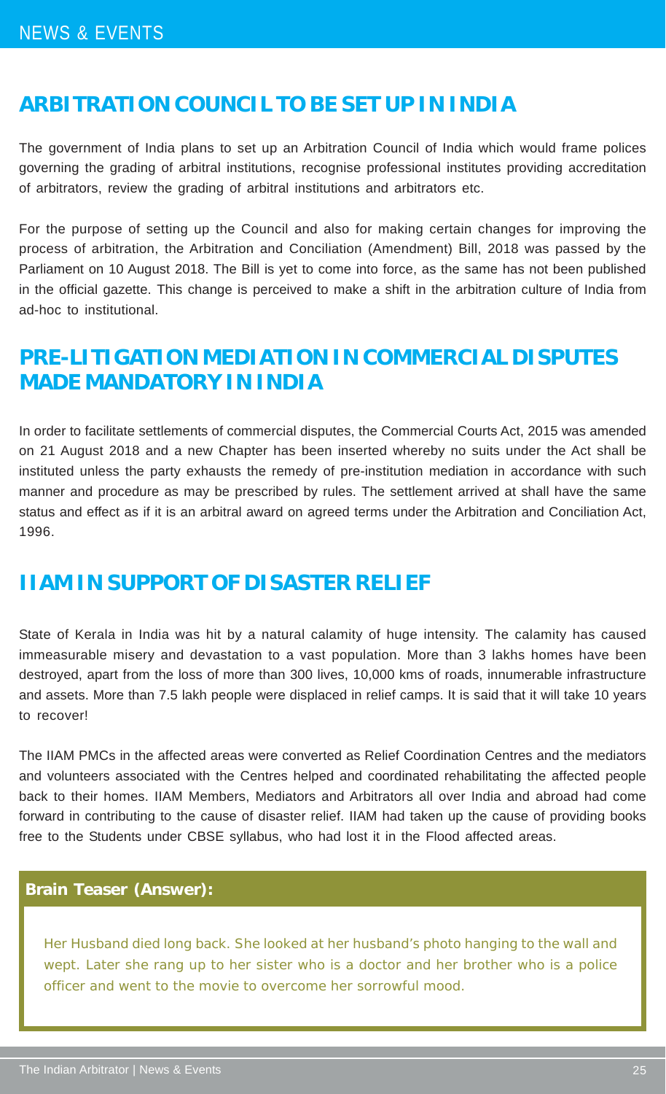### **ARBITRATION COUNCIL TO BE SET UP IN INDIA**

The government of India plans to set up an Arbitration Council of India which would frame polices governing the grading of arbitral institutions, recognise professional institutes providing accreditation of arbitrators, review the grading of arbitral institutions and arbitrators etc.

For the purpose of setting up the Council and also for making certain changes for improving the process of arbitration, the Arbitration and Conciliation (Amendment) Bill, 2018 was passed by the Parliament on 10 August 2018. The Bill is yet to come into force, as the same has not been published in the official gazette. This change is perceived to make a shift in the arbitration culture of India from ad-hoc to institutional.

## **PRE-LITIGATION MEDIATION IN COMMERCIAL DISPUTES MADE MANDATORY IN INDIA**

In order to facilitate settlements of commercial disputes, the Commercial Courts Act, 2015 was amended on 21 August 2018 and a new Chapter has been inserted whereby no suits under the Act shall be instituted unless the party exhausts the remedy of pre-institution mediation in accordance with such manner and procedure as may be prescribed by rules. The settlement arrived at shall have the same status and effect as if it is an arbitral award on agreed terms under the Arbitration and Conciliation Act, 1996.

### **IIAM IN SUPPORT OF DISASTER RELIEF**

State of Kerala in India was hit by a natural calamity of huge intensity. The calamity has caused immeasurable misery and devastation to a vast population. More than 3 lakhs homes have been destroyed, apart from the loss of more than 300 lives, 10,000 kms of roads, innumerable infrastructure and assets. More than 7.5 lakh people were displaced in relief camps. It is said that it will take 10 years to recover!

The IIAM PMCs in the affected areas were converted as Relief Coordination Centres and the mediators and volunteers associated with the Centres helped and coordinated rehabilitating the affected people back to their homes. IIAM Members, Mediators and Arbitrators all over India and abroad had come forward in contributing to the cause of disaster relief. IIAM had taken up the cause of providing books free to the Students under CBSE syllabus, who had lost it in the Flood affected areas.

#### **Brain Teaser (Answer):**

Her Husband died long back. She looked at her husband's photo hanging to the wall and wept. Later she rang up to her sister who is a doctor and her brother who is a police officer and went to the movie to overcome her sorrowful mood.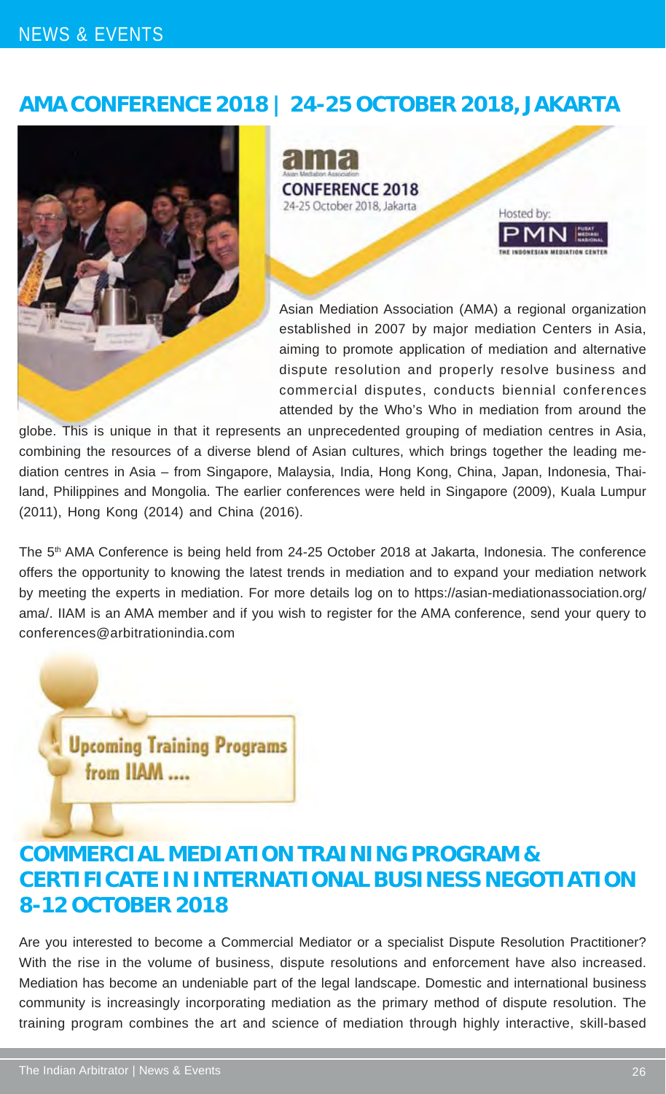### NEWS & EVENTS

## **AMA CONFERENCE 2018 | 24-25 OCTOBER 2018, JAKARTA**





Asian Mediation Association (AMA) a regional organization established in 2007 by major mediation Centers in Asia, aiming to promote application of mediation and alternative dispute resolution and properly resolve business and commercial disputes, conducts biennial conferences attended by the Who's Who in mediation from around the

globe. This is unique in that it represents an unprecedented grouping of mediation centres in Asia, combining the resources of a diverse blend of Asian cultures, which brings together the leading mediation centres in Asia – from Singapore, Malaysia, India, Hong Kong, China, Japan, Indonesia, Thailand, Philippines and Mongolia. The earlier conferences were held in Singapore (2009), Kuala Lumpur (2011), Hong Kong (2014) and China (2016).

The 5<sup>th</sup> AMA Conference is being held from 24-25 October 2018 at Jakarta, Indonesia. The conference offers the opportunity to knowing the latest trends in mediation and to expand your mediation network by meeting the experts in mediation. For more details log on to https://asian-mediationassociation.org/ ama/. IIAM is an AMA member and if you wish to register for the AMA conference, send your query to conferences@arbitrationindia.com

**Upcoming Training Programs** from IIAM ....

## **COMMERCIAL MEDIATION TRAINING PROGRAM & CERTIFICATE IN INTERNATIONAL BUSINESS NEGOTIATION 8-12 OCTOBER 2018**

Are you interested to become a Commercial Mediator or a specialist Dispute Resolution Practitioner? With the rise in the volume of business, dispute resolutions and enforcement have also increased. Mediation has become an undeniable part of the legal landscape. Domestic and international business community is increasingly incorporating mediation as the primary method of dispute resolution. The training program combines the art and science of mediation through highly interactive, skill-based